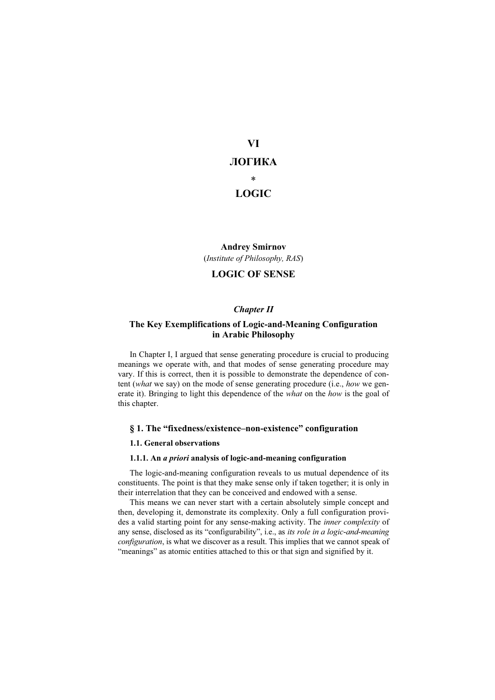# VI

# ЛОГИКА

\*

# LOGIC

# Andrey Smirnov (Institute of Philosophy, RAS)

# LOGIC OF SENSE

# Chapter II

## The Key Exemplifications of Logic-and-Meaning Configuration in Arabic Philosophy

In Chapter I, I argued that sense generating procedure is crucial to producing meanings we operate with, and that modes of sense generating procedure may vary. If this is correct, then it is possible to demonstrate the dependence of content (what we say) on the mode of sense generating procedure (i.e., how we generate it). Bringing to light this dependence of the what on the how is the goal of this chapter.

# § 1. The "fixedness/existence–non-existence" configuration

### 1.1. General observations

### 1.1.1. An a priori analysis of logic-and-meaning configuration

The logic-and-meaning configuration reveals to us mutual dependence of its constituents. The point is that they make sense only if taken together; it is only in their interrelation that they can be conceived and endowed with a sense.

This means we can never start with a certain absolutely simple concept and then, developing it, demonstrate its complexity. Only a full configuration provides a valid starting point for any sense-making activity. The inner complexity of any sense, disclosed as its "configurability", i.e., as its role in a logic-and-meaning configuration, is what we discover as a result. This implies that we cannot speak of "meanings" as atomic entities attached to this or that sign and signified by it.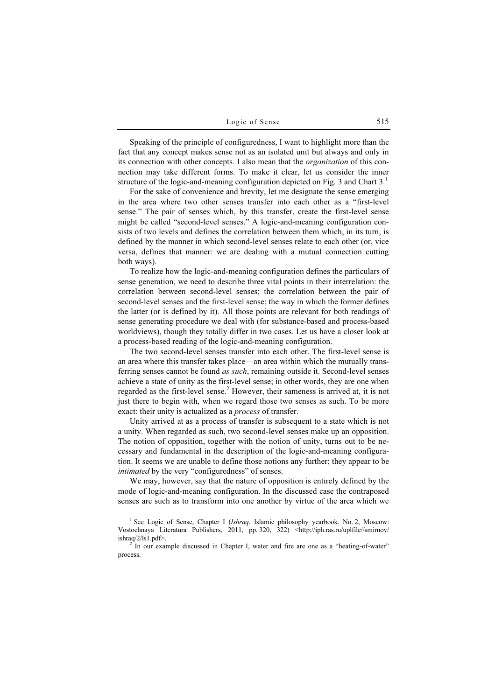Speaking of the principle of configuredness, I want to highlight more than the fact that any concept makes sense not as an isolated unit but always and only in its connection with other concepts. I also mean that the organization of this connection may take different forms. To make it clear, let us consider the inner structure of the logic-and-meaning configuration depicted on Fig. 3 and Chart  $3<sup>1</sup>$ 

For the sake of convenience and brevity, let me designate the sense emerging in the area where two other senses transfer into each other as a "first-level sense." The pair of senses which, by this transfer, create the first-level sense might be called "second-level senses." A logic-and-meaning configuration consists of two levels and defines the correlation between them which, in its turn, is defined by the manner in which second-level senses relate to each other (or, vice versa, defines that manner: we are dealing with a mutual connection cutting both ways).

To realize how the logic-and-meaning configuration defines the particulars of sense generation, we need to describe three vital points in their interrelation: the correlation between second-level senses; the correlation between the pair of second-level senses and the first-level sense; the way in which the former defines the latter (or is defined by it). All those points are relevant for both readings of sense generating procedure we deal with (for substance-based and process-based worldviews), though they totally differ in two cases. Let us have a closer look at a process-based reading of the logic-and-meaning configuration.

The two second-level senses transfer into each other. The first-level sense is an area where this transfer takes place—an area within which the mutually transferring senses cannot be found *as such*, remaining outside it. Second-level senses achieve a state of unity as the first-level sense; in other words, they are one when regarded as the first-level sense.<sup>2</sup> However, their sameness is arrived at, it is not just there to begin with, when we regard those two senses as such. To be more exact: their unity is actualized as a *process* of transfer.

Unity arrived at as a process of transfer is subsequent to a state which is not a unity. When regarded as such, two second-level senses make up an opposition. The notion of opposition, together with the notion of unity, turns out to be necessary and fundamental in the description of the logic-and-meaning configuration. It seems we are unable to define those notions any further; they appear to be intimated by the very "configuredness" of senses.

We may, however, say that the nature of opposition is entirely defined by the mode of logic-and-meaning configuration. In the discussed case the contraposed senses are such as to transform into one another by virtue of the area which we

<sup>&</sup>lt;sup>1</sup> See Logic of Sense, Chapter I (Ishraq. Islamic philosophy yearbook. No. 2, Moscow: Vostochnaya Literatura Publishers, 2011, pp. 320, 322) <http://iph.ras.ru/uplfile//smirnov/ ishraq $/2$ /ls1.pdf>.

 $2^2$  In our example discussed in Chapter I, water and fire are one as a "heating-of-water" process.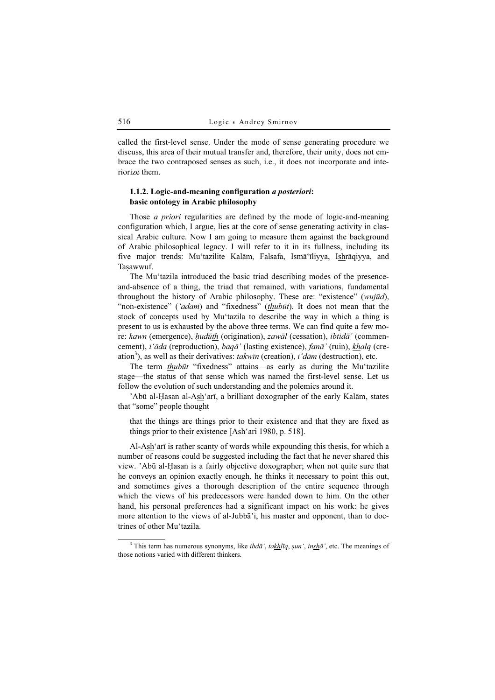called the first-level sense. Under the mode of sense generating procedure we discuss, this area of their mutual transfer and, therefore, their unity, does not embrace the two contraposed senses as such, i.e., it does not incorporate and interiorize them.

## 1.1.2. Logic-and-meaning configuration a posteriori: basic ontology in Arabic philosophy

Those *a priori* regularities are defined by the mode of logic-and-meaning configuration which, I argue, lies at the core of sense generating activity in classical Arabic culture. Now I am going to measure them against the background of Arabic philosophical legacy. I will refer to it in its fullness, including its five major trends: Mu'tazilite Kalām, Falsafa, Ismā'īliyya, Ishrāqiyya, and Taṣawwuf.

The Mu'tazila introduced the basic triad describing modes of the presenceand-absence of a thing, the triad that remained, with variations, fundamental throughout the history of Arabic philosophy. These are: "existence" (wujūd), "non-existence" ('adam) and "fixedness" (thubūt). It does not mean that the stock of concepts used by Mu'tazila to describe the way in which a thing is present to us is exhausted by the above three terms. We can find quite a few more: kawn (emergence), *hudūth* (origination), zawāl (cessation), *ibtidā*' (commencement), i'āda (reproduction), baqā' (lasting existence), fanā' (ruin), khalq (creation<sup>3</sup>), as well as their derivatives: takwīn (creation),  $i' d\bar{a}m$  (destruction), etc.

The term *thubūt* "fixedness" attains—as early as during the Mu'tazilite stage—the status of that sense which was named the first-level sense. Let us follow the evolution of such understanding and the polemics around it.

'Abū al-Ḥasan al-Ash'arī, a brilliant doxographer of the early Kalām, states that "some" people thought

that the things are things prior to their existence and that they are fixed as things prior to their existence [Ash'ari 1980, p. 518].

Al-Ash'arī is rather scanty of words while expounding this thesis, for which a number of reasons could be suggested including the fact that he never shared this view. 'Abū al-Ḥasan is a fairly objective doxographer; when not quite sure that he conveys an opinion exactly enough, he thinks it necessary to point this out, and sometimes gives a thorough description of the entire sequence through which the views of his predecessors were handed down to him. On the other hand, his personal preferences had a significant impact on his work: he gives more attention to the views of al-Jubbā'i, his master and opponent, than to doctrines of other Mu'tazila.

<sup>&</sup>lt;sup>3</sup> This term has numerous synonyms, like *ibdā* ', takhlīq, sun ', inshā', etc. The meanings of those notions varied with different thinkers.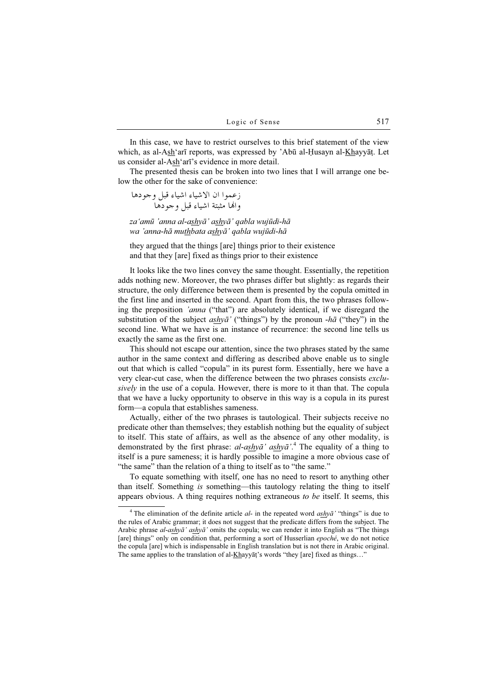In this case, we have to restrict ourselves to this brief statement of the view which, as al-Ash'arī reports, was expressed by 'Abū al-Ḥusayn al-Khayyāṭ. Let us consider al-Ash'arī's evidence in more detail.

The presented thesis can be broken into two lines that I will arrange one below the other for the sake of convenience:

- -
 -
- -
 -

za'amū 'anna al-ashyā' ashyā' qabla wujūdi-hā wa 'anna-hā muthbata ashyā' qabla wujūdi-hā

they argued that the things [are] things prior to their existence and that they [are] fixed as things prior to their existence

It looks like the two lines convey the same thought. Essentially, the repetition adds nothing new. Moreover, the two phrases differ but slightly: as regards their structure, the only difference between them is presented by the copula omitted in the first line and inserted in the second. Apart from this, the two phrases following the preposition 'anna ("that") are absolutely identical, if we disregard the substitution of the subject ashya' ("things") by the pronoun  $-h\bar{a}$  ("they") in the second line. What we have is an instance of recurrence: the second line tells us exactly the same as the first one.

This should not escape our attention, since the two phrases stated by the same author in the same context and differing as described above enable us to single out that which is called "copula" in its purest form. Essentially, here we have a very clear-cut case, when the difference between the two phrases consists exclusively in the use of a copula. However, there is more to it than that. The copula that we have a lucky opportunity to observe in this way is a copula in its purest form—a copula that establishes sameness.

Actually, either of the two phrases is tautological. Their subjects receive no predicate other than themselves; they establish nothing but the equality of subject to itself. This state of affairs, as well as the absence of any other modality, is demonstrated by the first phrase:  $al\text{-}ashy\bar{a}'$  as  $\frac{dh}{\bar{a}'}$ .<sup>4</sup> The equality of a thing to itself is a pure sameness; it is hardly possible to imagine a more obvious case of "the same" than the relation of a thing to itself as to "the same."

To equate something with itself, one has no need to resort to anything other than itself. Something is something—this tautology relating the thing to itself appears obvious. A thing requires nothing extraneous to be itself. It seems, this

<sup>&</sup>lt;sup>4</sup> The elimination of the definite article  $al$ - in the repeated word  $a s h y \bar{a}$ ' "things" is due to the rules of Arabic grammar; it does not suggest that the predicate differs from the subject. The Arabic phrase  $al\text{-}ash\chi\bar{a}'$  ashy $\bar{a}'$  omits the copula; we can render it into English as "The things" [are] things" only on condition that, performing a sort of Husserlian epoché, we do not notice the copula [are] which is indispensable in English translation but is not there in Arabic original. The same applies to the translation of al- $Kh$ ayyāṭ's words "they [are] fixed as things..."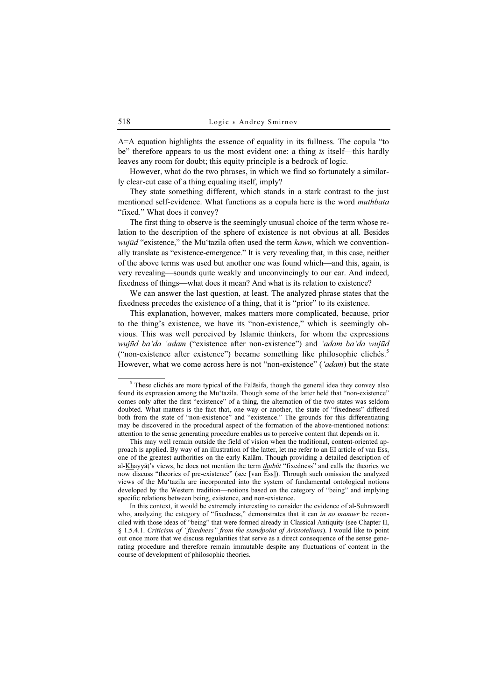A=A equation highlights the essence of equality in its fullness. The copula "to be" therefore appears to us the most evident one: a thing is itself—this hardly leaves any room for doubt; this equity principle is a bedrock of logic.

However, what do the two phrases, in which we find so fortunately a similarly clear-cut case of a thing equaling itself, imply?

They state something different, which stands in a stark contrast to the just mentioned self-evidence. What functions as a copula here is the word *muthbata* "fixed." What does it convey?

The first thing to observe is the seemingly unusual choice of the term whose relation to the description of the sphere of existence is not obvious at all. Besides *wujūd* "existence," the Mu'tazila often used the term  $kawn$ , which we conventionally translate as "existence-emergence." It is very revealing that, in this case, neither of the above terms was used but another one was found which—and this, again, is very revealing—sounds quite weakly and unconvincingly to our ear. And indeed, fixedness of things—what does it mean? And what is its relation to existence?

We can answer the last question, at least. The analyzed phrase states that the fixedness precedes the existence of a thing, that it is "prior" to its existence.

This explanation, however, makes matters more complicated, because, prior to the thing's existence, we have its "non-existence," which is seemingly obvious. This was well perceived by Islamic thinkers, for whom the expressions wujūd ba'da 'adam ("existence after non-existence") and 'adam ba'da wujūd ("non-existence after existence") became something like philosophic clichés.<sup>5</sup> However, what we come across here is not "non-existence" ('adam) but the state

This may well remain outside the field of vision when the traditional, content-oriented approach is applied. By way of an illustration of the latter, let me refer to an EI article of van Ess, one of the greatest authorities on the early Kalām. Though providing a detailed description of al-Khayyāṭ's views, he does not mention the term  $\frac{h}{u}$  "fixedness" and calls the theories we now discuss "theories of pre-existence" (see [van Ess]). Through such omission the analyzed views of the Mu'tazila are incorporated into the system of fundamental ontological notions developed by the Western tradition—notions based on the category of "being" and implying specific relations between being, existence, and non-existence.

In this context, it would be extremely interesting to consider the evidence of al-Suhrawardī who, analyzing the category of "fixedness," demonstrates that it can in no manner be reconciled with those ideas of "being" that were formed already in Classical Antiquity (see Chapter II, § 1.5.4.1. Criticism of "fixedness" from the standpoint of Aristotelians). I would like to point out once more that we discuss regularities that serve as a direct consequence of the sense generating procedure and therefore remain immutable despite any fluctuations of content in the course of development of philosophic theories.

<sup>&</sup>lt;sup>5</sup> These clichés are more typical of the Falāsifa, though the general idea they convey also found its expression among the Mu'tazila. Though some of the latter held that "non-existence" comes only after the first "existence" of a thing, the alternation of the two states was seldom doubted. What matters is the fact that, one way or another, the state of "fixedness" differed both from the state of "non-existence" and "existence." The grounds for this differentiating may be discovered in the procedural aspect of the formation of the above-mentioned notions: attention to the sense generating procedure enables us to perceive content that depends on it.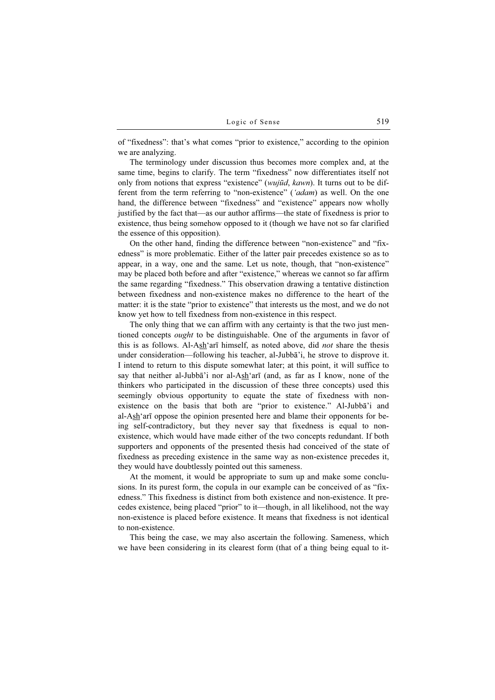of "fixedness": that's what comes "prior to existence," according to the opinion we are analyzing.

The terminology under discussion thus becomes more complex and, at the same time, begins to clarify. The term "fixedness" now differentiates itself not only from notions that express "existence" (wujūd, kawn). It turns out to be different from the term referring to "non-existence" ('adam) as well. On the one hand, the difference between "fixedness" and "existence" appears now wholly justified by the fact that—as our author affirms—the state of fixedness is prior to existence, thus being somehow opposed to it (though we have not so far clarified the essence of this opposition).

On the other hand, finding the difference between "non-existence" and "fixedness" is more problematic. Either of the latter pair precedes existence so as to appear, in a way, one and the same. Let us note, though, that "non-existence" may be placed both before and after "existence," whereas we cannot so far affirm the same regarding "fixedness." This observation drawing a tentative distinction between fixedness and non-existence makes no difference to the heart of the matter: it is the state "prior to existence" that interests us the most, and we do not know yet how to tell fixedness from non-existence in this respect.

The only thing that we can affirm with any certainty is that the two just mentioned concepts ought to be distinguishable. One of the arguments in favor of this is as follows. Al-Ash'arī himself, as noted above, did not share the thesis under consideration—following his teacher, al-Jubbā'i, he strove to disprove it. I intend to return to this dispute somewhat later; at this point, it will suffice to say that neither al-Jubbā'i nor al-Ash'arī (and, as far as I know, none of the thinkers who participated in the discussion of these three concepts) used this seemingly obvious opportunity to equate the state of fixedness with nonexistence on the basis that both are "prior to existence." Al-Jubbā'i and al-Ash'arī oppose the opinion presented here and blame their opponents for being self-contradictory, but they never say that fixedness is equal to nonexistence, which would have made either of the two concepts redundant. If both supporters and opponents of the presented thesis had conceived of the state of fixedness as preceding existence in the same way as non-existence precedes it, they would have doubtlessly pointed out this sameness.

At the moment, it would be appropriate to sum up and make some conclusions. In its purest form, the copula in our example can be conceived of as "fixedness." This fixedness is distinct from both existence and non-existence. It precedes existence, being placed "prior" to it—though, in all likelihood, not the way non-existence is placed before existence. It means that fixedness is not identical to non-existence.

This being the case, we may also ascertain the following. Sameness, which we have been considering in its clearest form (that of a thing being equal to it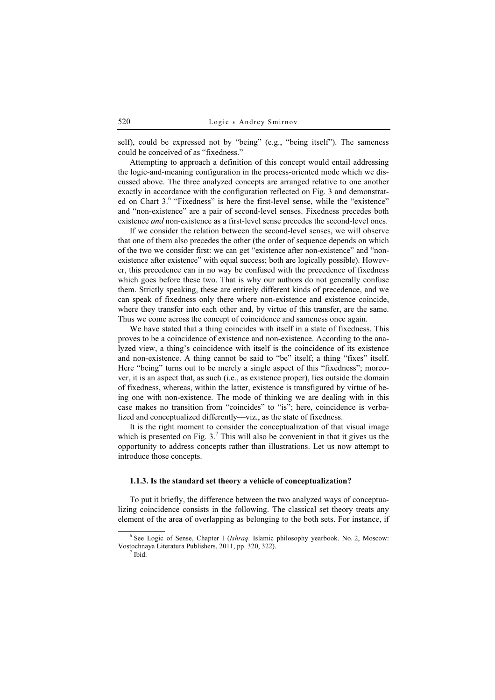self), could be expressed not by "being" (e.g., "being itself"). The sameness could be conceived of as "fixedness."

Attempting to approach a definition of this concept would entail addressing the logic-and-meaning configuration in the process-oriented mode which we discussed above. The three analyzed concepts are arranged relative to one another exactly in accordance with the configuration reflected on Fig. 3 and demonstrated on Chart 3.<sup>6</sup> "Fixedness" is here the first-level sense, while the "existence" and "non-existence" are a pair of second-level senses. Fixedness precedes both existence *and* non-existence as a first-level sense precedes the second-level ones.

If we consider the relation between the second-level senses, we will observe that one of them also precedes the other (the order of sequence depends on which of the two we consider first: we can get "existence after non-existence" and "nonexistence after existence" with equal success; both are logically possible). However, this precedence can in no way be confused with the precedence of fixedness which goes before these two. That is why our authors do not generally confuse them. Strictly speaking, these are entirely different kinds of precedence, and we can speak of fixedness only there where non-existence and existence coincide, where they transfer into each other and, by virtue of this transfer, are the same. Thus we come across the concept of coincidence and sameness once again.

We have stated that a thing coincides with itself in a state of fixedness. This proves to be a coincidence of existence and non-existence. According to the analyzed view, a thing's coincidence with itself is the coincidence of its existence and non-existence. A thing cannot be said to "be" itself; a thing "fixes" itself. Here "being" turns out to be merely a single aspect of this "fixedness"; moreover, it is an aspect that, as such (i.e., as existence proper), lies outside the domain of fixedness, whereas, within the latter, existence is transfigured by virtue of being one with non-existence. The mode of thinking we are dealing with in this case makes no transition from "coincides" to "is"; here, coincidence is verbalized and conceptualized differently—viz., as the state of fixedness.

It is the right moment to consider the conceptualization of that visual image which is presented on Fig.  $3<sup>7</sup>$  This will also be convenient in that it gives us the opportunity to address concepts rather than illustrations. Let us now attempt to introduce those concepts.

### 1.1.3. Is the standard set theory a vehicle of conceptualization?

To put it briefly, the difference between the two analyzed ways of conceptualizing coincidence consists in the following. The classical set theory treats any element of the area of overlapping as belonging to the both sets. For instance, if

<sup>&</sup>lt;sup>6</sup> See Logic of Sense, Chapter I (Ishraq. Islamic philosophy yearbook. No. 2, Moscow: Vostochnaya Literatura Publishers, 2011, pp. 320, 322). <sup>7</sup>

 $<sup>7</sup>$  Ibid.</sup>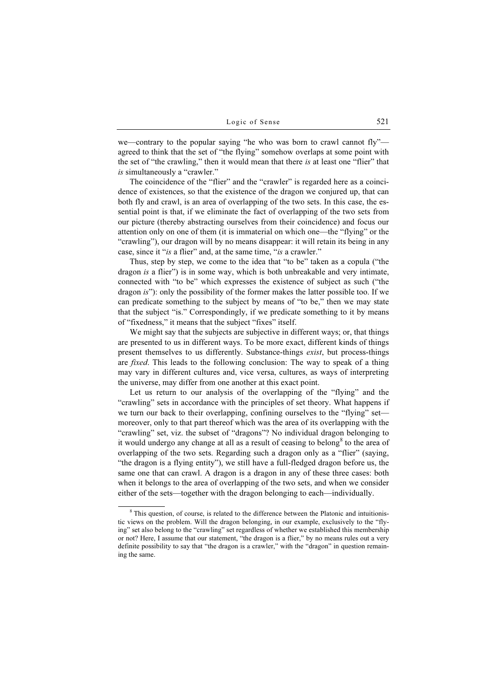we—contrary to the popular saying "he who was born to crawl cannot fly" agreed to think that the set of "the flying" somehow overlaps at some point with the set of "the crawling," then it would mean that there is at least one "flier" that is simultaneously a "crawler."

The coincidence of the "flier" and the "crawler" is regarded here as a coincidence of existences, so that the existence of the dragon we conjured up, that can both fly and crawl, is an area of overlapping of the two sets. In this case, the essential point is that, if we eliminate the fact of overlapping of the two sets from our picture (thereby abstracting ourselves from their coincidence) and focus our attention only on one of them (it is immaterial on which one—the "flying" or the "crawling"), our dragon will by no means disappear: it will retain its being in any case, since it "is a flier" and, at the same time, "is a crawler."

Thus, step by step, we come to the idea that "to be" taken as a copula ("the dragon is a flier") is in some way, which is both unbreakable and very intimate, connected with "to be" which expresses the existence of subject as such ("the dragon is"): only the possibility of the former makes the latter possible too. If we can predicate something to the subject by means of "to be," then we may state that the subject "is." Correspondingly, if we predicate something to it by means of "fixedness," it means that the subject "fixes" itself.

We might say that the subjects are subjective in different ways; or, that things are presented to us in different ways. To be more exact, different kinds of things present themselves to us differently. Substance-things exist, but process-things are *fixed*. This leads to the following conclusion: The way to speak of a thing may vary in different cultures and, vice versa, cultures, as ways of interpreting the universe, may differ from one another at this exact point.

Let us return to our analysis of the overlapping of the "flying" and the "crawling" sets in accordance with the principles of set theory. What happens if we turn our back to their overlapping, confining ourselves to the "flying" set moreover, only to that part thereof which was the area of its overlapping with the "crawling" set, viz. the subset of "dragons"? No individual dragon belonging to it would undergo any change at all as a result of ceasing to belong<sup>8</sup> to the area of overlapping of the two sets. Regarding such a dragon only as a "flier" (saying, "the dragon is a flying entity"), we still have a full-fledged dragon before us, the same one that can crawl. A dragon is a dragon in any of these three cases: both when it belongs to the area of overlapping of the two sets, and when we consider either of the sets—together with the dragon belonging to each—individually.

<sup>&</sup>lt;sup>8</sup> This question, of course, is related to the difference between the Platonic and intuitionistic views on the problem. Will the dragon belonging, in our example, exclusively to the "flying" set also belong to the "crawling" set regardless of whether we established this membership or not? Here, I assume that our statement, "the dragon is a flier," by no means rules out a very definite possibility to say that "the dragon is a crawler," with the "dragon" in question remaining the same.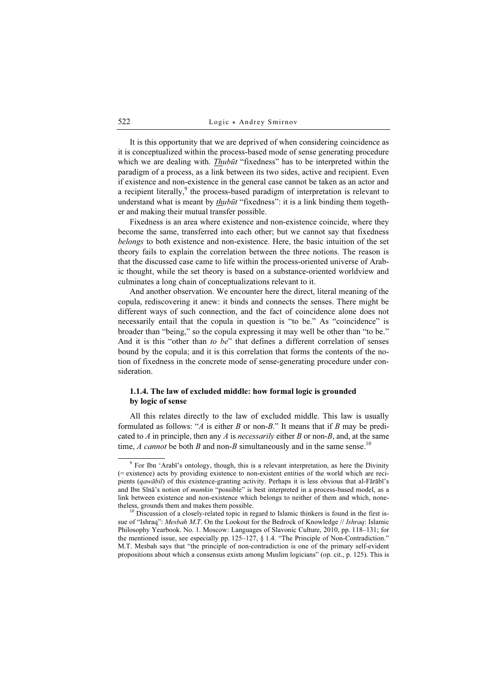It is this opportunity that we are deprived of when considering coincidence as it is conceptualized within the process-based mode of sense generating procedure which we are dealing with. *Thubūt* "fixedness" has to be interpreted within the paradigm of a process, as a link between its two sides, active and recipient. Even if existence and non-existence in the general case cannot be taken as an actor and a recipient literally,<sup>9</sup> the process-based paradigm of interpretation is relevant to understand what is meant by *thubūt* "fixedness": it is a link binding them together and making their mutual transfer possible.

Fixedness is an area where existence and non-existence coincide, where they become the same, transferred into each other; but we cannot say that fixedness belongs to both existence and non-existence. Here, the basic intuition of the set theory fails to explain the correlation between the three notions. The reason is that the discussed case came to life within the process-oriented universe of Arabic thought, while the set theory is based on a substance-oriented worldview and culminates a long chain of conceptualizations relevant to it.

And another observation. We encounter here the direct, literal meaning of the copula, rediscovering it anew: it binds and connects the senses. There might be different ways of such connection, and the fact of coincidence alone does not necessarily entail that the copula in question is "to be." As "coincidence" is broader than "being," so the copula expressing it may well be other than "to be." And it is this "other than to be" that defines a different correlation of senses bound by the copula; and it is this correlation that forms the contents of the notion of fixedness in the concrete mode of sense-generating procedure under consideration.

## 1.1.4. The law of excluded middle: how formal logic is grounded by logic of sense

All this relates directly to the law of excluded middle. This law is usually formulated as follows: "A is either B or non-B." It means that if B may be predicated to A in principle, then any A is necessarily either B or non-B, and, at the same time, *A cannot* be both *B* and non-*B* simultaneously and in the same sense.<sup>10</sup>

<sup>&</sup>lt;sup>9</sup> For Ibn 'Arabī's ontology, though, this is a relevant interpretation, as here the Divinity (= existence) acts by providing existence to non-existent entities of the world which are recipients (qawābil) of this existence-granting activity. Perhaps it is less obvious that al-Fārābī's and Ibn Sīnā's notion of mumkin "possible" is best interpreted in a process-based model, as a link between existence and non-existence which belongs to neither of them and which, nonethe less, grounds them and makes them possible.<br><sup>10</sup> Discussion of a closely-related topic in regard to Islamic thinkers is found in the first is-

sue of "Ishraq": Mesbah M.T. On the Lookout for the Bedrock of Knowledge // Ishraq: Islamic Philosophy Yearbook. No. 1. Moscow: Languages of Slavonic Culture, 2010, pp. 118–131; for the mentioned issue, see especially pp.  $125-127$ ,  $\S$  1.4. "The Principle of Non-Contradiction." M.T. Mesbah says that "the principle of non-contradiction is one of the primary self-evident propositions about which a consensus exists among Muslim logicians" (op. cit., p. 125). This is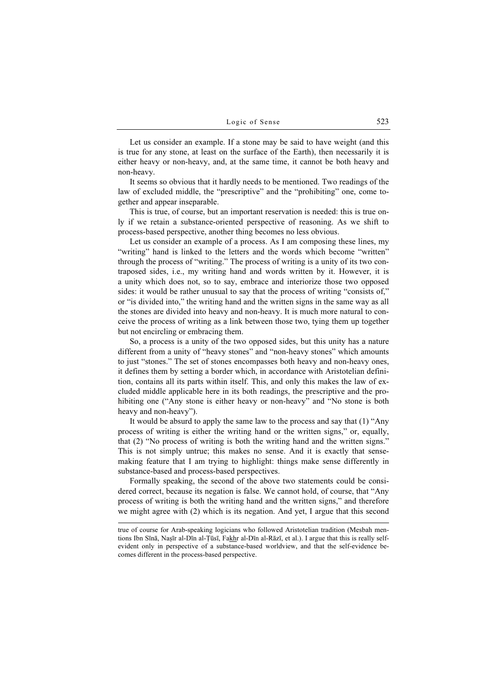Let us consider an example. If a stone may be said to have weight (and this is true for any stone, at least on the surface of the Earth), then necessarily it is either heavy or non-heavy, and, at the same time, it cannot be both heavy and non-heavy.

It seems so obvious that it hardly needs to be mentioned. Two readings of the law of excluded middle, the "prescriptive" and the "prohibiting" one, come together and appear inseparable.

This is true, of course, but an important reservation is needed: this is true only if we retain a substance-oriented perspective of reasoning. As we shift to process-based perspective, another thing becomes no less obvious.

Let us consider an example of a process. As I am composing these lines, my "writing" hand is linked to the letters and the words which become "written" through the process of "writing." The process of writing is a unity of its two contraposed sides, i.e., my writing hand and words written by it. However, it is a unity which does not, so to say, embrace and interiorize those two opposed sides: it would be rather unusual to say that the process of writing "consists of," or "is divided into," the writing hand and the written signs in the same way as all the stones are divided into heavy and non-heavy. It is much more natural to conceive the process of writing as a link between those two, tying them up together but not encircling or embracing them.

So, a process is a unity of the two opposed sides, but this unity has a nature different from a unity of "heavy stones" and "non-heavy stones" which amounts to just "stones." The set of stones encompasses both heavy and non-heavy ones, it defines them by setting a border which, in accordance with Aristotelian definition, contains all its parts within itself. This, and only this makes the law of excluded middle applicable here in its both readings, the prescriptive and the prohibiting one ("Any stone is either heavy or non-heavy" and "No stone is both heavy and non-heavy").

It would be absurd to apply the same law to the process and say that (1) "Any process of writing is either the writing hand or the written signs," or, equally, that (2) "No process of writing is both the writing hand and the written signs." This is not simply untrue; this makes no sense. And it is exactly that sensemaking feature that I am trying to highlight: things make sense differently in substance-based and process-based perspectives.

Formally speaking, the second of the above two statements could be considered correct, because its negation is false. We cannot hold, of course, that "Any process of writing is both the writing hand and the written signs," and therefore we might agree with (2) which is its negation. And yet, I argue that this second

true of course for Arab-speaking logicians who followed Aristotelian tradition (Mesbah mentions Ibn Sīnā, Naṣīr al-Dīn al-Ṭūsī, Fakhr al-Dīn al-Rāzī, et al.). I argue that this is really selfevident only in perspective of a substance-based worldview, and that the self-evidence becomes different in the process-based perspective.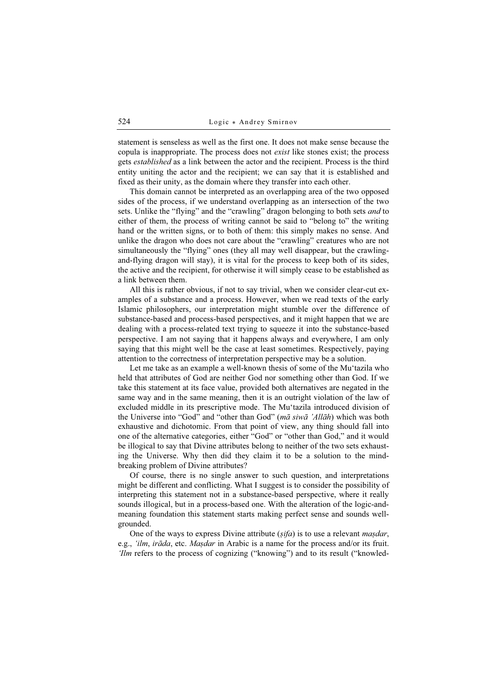statement is senseless as well as the first one. It does not make sense because the copula is inappropriate. The process does not exist like stones exist; the process gets established as a link between the actor and the recipient. Process is the third entity uniting the actor and the recipient; we can say that it is established and fixed as their unity, as the domain where they transfer into each other.

This domain cannot be interpreted as an overlapping area of the two opposed sides of the process, if we understand overlapping as an intersection of the two sets. Unlike the "flying" and the "crawling" dragon belonging to both sets *and* to either of them, the process of writing cannot be said to "belong to" the writing hand or the written signs, or to both of them: this simply makes no sense. And unlike the dragon who does not care about the "crawling" creatures who are not simultaneously the "flying" ones (they all may well disappear, but the crawlingand-flying dragon will stay), it is vital for the process to keep both of its sides, the active and the recipient, for otherwise it will simply cease to be established as a link between them.

All this is rather obvious, if not to say trivial, when we consider clear-cut examples of a substance and a process. However, when we read texts of the early Islamic philosophers, our interpretation might stumble over the difference of substance-based and process-based perspectives, and it might happen that we are dealing with a process-related text trying to squeeze it into the substance-based perspective. I am not saying that it happens always and everywhere, I am only saying that this might well be the case at least sometimes. Respectively, paying attention to the correctness of interpretation perspective may be a solution.

Let me take as an example a well-known thesis of some of the Mu'tazila who held that attributes of God are neither God nor something other than God. If we take this statement at its face value, provided both alternatives are negated in the same way and in the same meaning, then it is an outright violation of the law of excluded middle in its prescriptive mode. The Mu'tazila introduced division of the Universe into "God" and "other than God" ( $m\bar{a}$  siw $\bar{a}$  'All $\bar{a}h$ ) which was both exhaustive and dichotomic. From that point of view, any thing should fall into one of the alternative categories, either "God" or "other than God," and it would be illogical to say that Divine attributes belong to neither of the two sets exhausting the Universe. Why then did they claim it to be a solution to the mindbreaking problem of Divine attributes?

Of course, there is no single answer to such question, and interpretations might be different and conflicting. What I suggest is to consider the possibility of interpreting this statement not in a substance-based perspective, where it really sounds illogical, but in a process-based one. With the alteration of the logic-andmeaning foundation this statement starts making perfect sense and sounds wellgrounded.

One of the ways to express Divine attribute  $(sifa)$  is to use a relevant *masdar*, e.g., 'ilm, irāda, etc. Maṣdar in Arabic is a name for the process and/or its fruit. 'Ilm refers to the process of cognizing ("knowing") and to its result ("knowled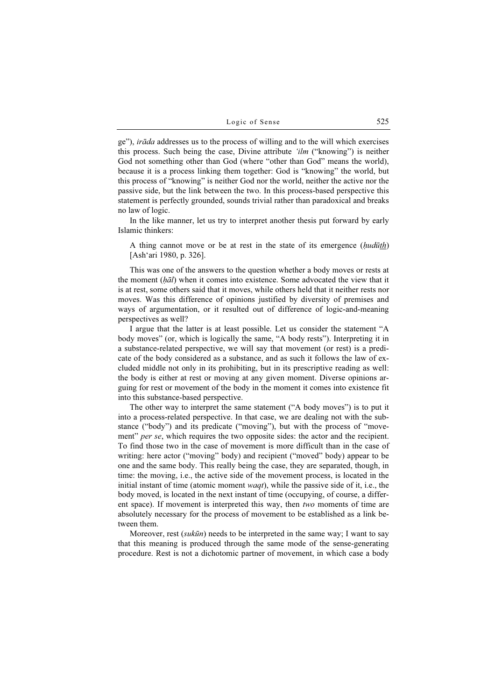ge"), *irāda* addresses us to the process of willing and to the will which exercises this process. Such being the case, Divine attribute 'ilm ("knowing") is neither God not something other than God (where "other than God" means the world), because it is a process linking them together: God is "knowing" the world, but this process of "knowing" is neither God nor the world, neither the active nor the passive side, but the link between the two. In this process-based perspective this statement is perfectly grounded, sounds trivial rather than paradoxical and breaks no law of logic.

In the like manner, let us try to interpret another thesis put forward by early Islamic thinkers:

A thing cannot move or be at rest in the state of its emergence (*hudūth*) [Ash'ari 1980, p. 326].

This was one of the answers to the question whether a body moves or rests at the moment  $(h\bar{a}l)$  when it comes into existence. Some advocated the view that it is at rest, some others said that it moves, while others held that it neither rests nor moves. Was this difference of opinions justified by diversity of premises and ways of argumentation, or it resulted out of difference of logic-and-meaning perspectives as well?

I argue that the latter is at least possible. Let us consider the statement "A body moves" (or, which is logically the same, "A body rests"). Interpreting it in a substance-related perspective, we will say that movement (or rest) is a predicate of the body considered as a substance, and as such it follows the law of excluded middle not only in its prohibiting, but in its prescriptive reading as well: the body is either at rest or moving at any given moment. Diverse opinions arguing for rest or movement of the body in the moment it comes into existence fit into this substance-based perspective.

The other way to interpret the same statement ("A body moves") is to put it into a process-related perspective. In that case, we are dealing not with the substance ("body") and its predicate ("moving"), but with the process of "movement" *per se*, which requires the two opposite sides: the actor and the recipient. To find those two in the case of movement is more difficult than in the case of writing: here actor ("moving" body) and recipient ("moved" body) appear to be one and the same body. This really being the case, they are separated, though, in time: the moving, i.e., the active side of the movement process, is located in the initial instant of time (atomic moment *waqt*), while the passive side of it, i.e., the body moved, is located in the next instant of time (occupying, of course, a different space). If movement is interpreted this way, then two moments of time are absolutely necessary for the process of movement to be established as a link between them.

Moreover, rest *(sukūn)* needs to be interpreted in the same way; I want to say that this meaning is produced through the same mode of the sense-generating procedure. Rest is not a dichotomic partner of movement, in which case a body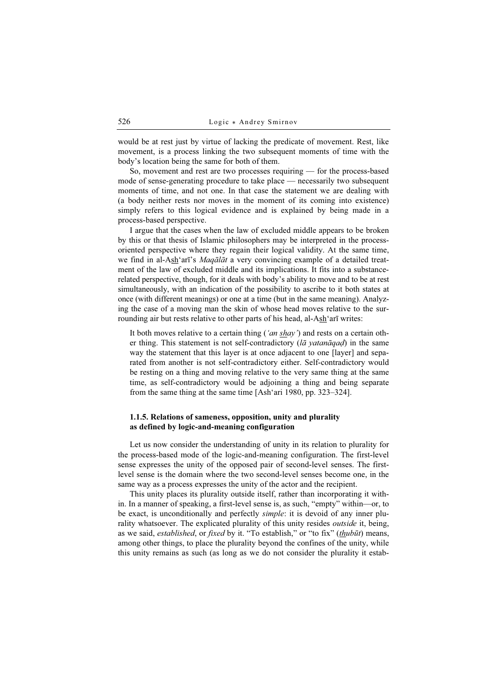would be at rest just by virtue of lacking the predicate of movement. Rest, like movement, is a process linking the two subsequent moments of time with the body's location being the same for both of them.

So, movement and rest are two processes requiring — for the process-based mode of sense-generating procedure to take place — necessarily two subsequent moments of time, and not one. In that case the statement we are dealing with (a body neither rests nor moves in the moment of its coming into existence) simply refers to this logical evidence and is explained by being made in a process-based perspective.

I argue that the cases when the law of excluded middle appears to be broken by this or that thesis of Islamic philosophers may be interpreted in the processoriented perspective where they regain their logical validity. At the same time, we find in al-Ash'arī's *Maqālāt* a very convincing example of a detailed treatment of the law of excluded middle and its implications. It fits into a substancerelated perspective, though, for it deals with body's ability to move and to be at rest simultaneously, with an indication of the possibility to ascribe to it both states at once (with different meanings) or one at a time (but in the same meaning). Analyzing the case of a moving man the skin of whose head moves relative to the surrounding air but rests relative to other parts of his head, al-Ash'arī writes:

It both moves relative to a certain thing ('an  $shay$ ) and rests on a certain other thing. This statement is not self-contradictory ( $l\bar{a}$  yatan $\bar{a}q$ ad) in the same way the statement that this layer is at once adjacent to one [layer] and separated from another is not self-contradictory either. Self-contradictory would be resting on a thing and moving relative to the very same thing at the same time, as self-contradictory would be adjoining a thing and being separate from the same thing at the same time [Ash'ari 1980, pp. 323–324].

## 1.1.5. Relations of sameness, opposition, unity and plurality as defined by logic-and-meaning configuration

Let us now consider the understanding of unity in its relation to plurality for the process-based mode of the logic-and-meaning configuration. The first-level sense expresses the unity of the opposed pair of second-level senses. The firstlevel sense is the domain where the two second-level senses become one, in the same way as a process expresses the unity of the actor and the recipient.

This unity places its plurality outside itself, rather than incorporating it within. In a manner of speaking, a first-level sense is, as such, "empty" within—or, to be exact, is unconditionally and perfectly simple: it is devoid of any inner plurality whatsoever. The explicated plurality of this unity resides *outside* it, being, as we said, *established*, or *fixed* by it. "To establish," or "to fix" (*thubūt*) means, among other things, to place the plurality beyond the confines of the unity, while this unity remains as such (as long as we do not consider the plurality it estab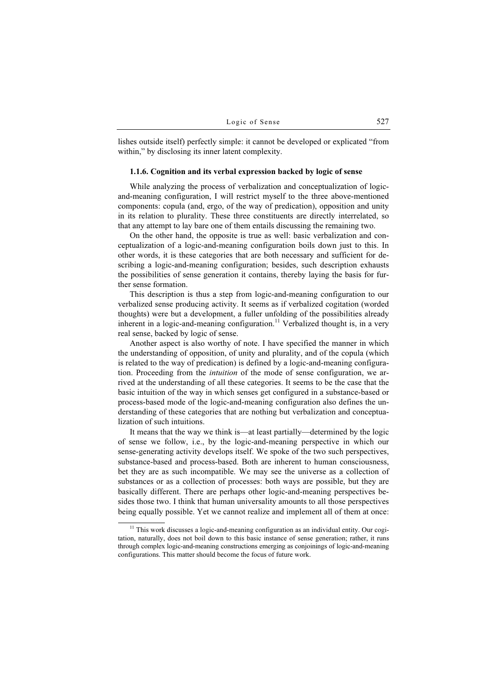lishes outside itself) perfectly simple: it cannot be developed or explicated "from within," by disclosing its inner latent complexity.

#### 1.1.6. Cognition and its verbal expression backed by logic of sense

While analyzing the process of verbalization and conceptualization of logicand-meaning configuration, I will restrict myself to the three above-mentioned components: copula (and, ergo, of the way of predication), opposition and unity in its relation to plurality. These three constituents are directly interrelated, so that any attempt to lay bare one of them entails discussing the remaining two.

On the other hand, the opposite is true as well: basic verbalization and conceptualization of a logic-and-meaning configuration boils down just to this. In other words, it is these categories that are both necessary and sufficient for describing a logic-and-meaning configuration; besides, such description exhausts the possibilities of sense generation it contains, thereby laying the basis for further sense formation.

This description is thus a step from logic-and-meaning configuration to our verbalized sense producing activity. It seems as if verbalized cogitation (worded thoughts) were but a development, a fuller unfolding of the possibilities already inherent in a logic-and-meaning configuration.<sup>11</sup> Verbalized thought is, in a very real sense, backed by logic of sense.

Another aspect is also worthy of note. I have specified the manner in which the understanding of opposition, of unity and plurality, and of the copula (which is related to the way of predication) is defined by a logic-and-meaning configuration. Proceeding from the intuition of the mode of sense configuration, we arrived at the understanding of all these categories. It seems to be the case that the basic intuition of the way in which senses get configured in a substance-based or process-based mode of the logic-and-meaning configuration also defines the understanding of these categories that are nothing but verbalization and conceptualization of such intuitions.

It means that the way we think is—at least partially—determined by the logic of sense we follow, i.e., by the logic-and-meaning perspective in which our sense-generating activity develops itself. We spoke of the two such perspectives, substance-based and process-based. Both are inherent to human consciousness, bet they are as such incompatible. We may see the universe as a collection of substances or as a collection of processes: both ways are possible, but they are basically different. There are perhaps other logic-and-meaning perspectives besides those two. I think that human universality amounts to all those perspectives being equally possible. Yet we cannot realize and implement all of them at once:

<sup>&</sup>lt;sup>11</sup> This work discusses a logic-and-meaning configuration as an individual entity. Our cogitation, naturally, does not boil down to this basic instance of sense generation; rather, it runs through complex logic-and-meaning constructions emerging as conjoinings of logic-and-meaning configurations. This matter should become the focus of future work.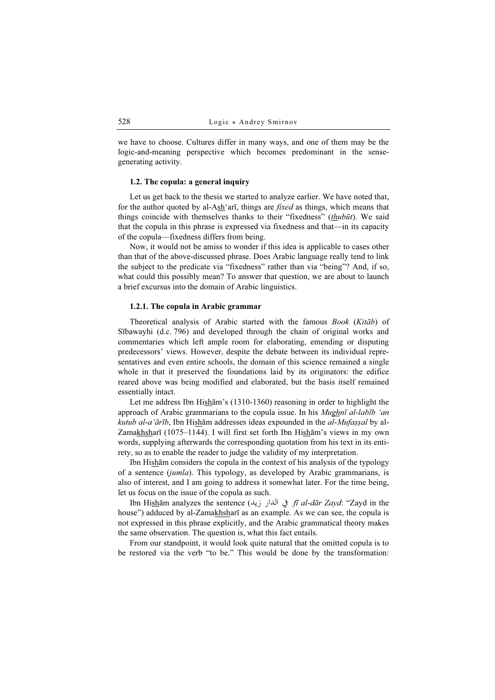we have to choose. Cultures differ in many ways, and one of them may be the logic-and-meaning perspective which becomes predominant in the sensegenerating activity.

## 1.2. The copula: a general inquiry

Let us get back to the thesis we started to analyze earlier. We have noted that, for the author quoted by al-Ash'arī, things are *fixed* as things, which means that things coincide with themselves thanks to their "fixedness" (thubūt). We said that the copula in this phrase is expressed via fixedness and that—in its capacity of the copula—fixedness differs from being.

Now, it would not be amiss to wonder if this idea is applicable to cases other than that of the above-discussed phrase. Does Arabic language really tend to link the subject to the predicate via "fixedness" rather than via "being"? And, if so, what could this possibly mean? To answer that question, we are about to launch a brief excursus into the domain of Arabic linguistics.

#### 1.2.1. The copula in Arabic grammar

Theoretical analysis of Arabic started with the famous Book (Kitāb) of Sībawayhi (d.c. 796) and developed through the chain of original works and commentaries which left ample room for elaborating, emending or disputing predecessors' views. However, despite the debate between its individual representatives and even entire schools, the domain of this science remained a single whole in that it preserved the foundations laid by its originators: the edifice reared above was being modified and elaborated, but the basis itself remained essentially intact.

Let me address Ibn Hisham's (1310-1360) reasoning in order to highlight the approach of Arabic grammarians to the copula issue. In his *Mughnī al-labīb 'an* kutub al-a'ārīb, Ibn Hishām addresses ideas expounded in the al-Mufașșal by al-Zamakhsharī (1075–1144). I will first set forth Ibn Hishām's views in my own words, supplying afterwards the corresponding quotation from his text in its entirety, so as to enable the reader to judge the validity of my interpretation.

Ibn Hishām considers the copula in the context of his analysis of the typology of a sentence (jumla). This typology, as developed by Arabic grammarians, is also of interest, and I am going to address it somewhat later. For the time being, let us focus on the issue of the copula as such.

Ibn Hishām analyzes the sentence (في اللدار زيد *fī al-dār Zayd*: "Zayd in the house") adduced by al-Zamakhsharī as an example. As we can see, the copula is not expressed in this phrase explicitly, and the Arabic grammatical theory makes the same observation. The question is, what this fact entails.

From our standpoint, it would look quite natural that the omitted copula is to be restored via the verb "to be." This would be done by the transformation: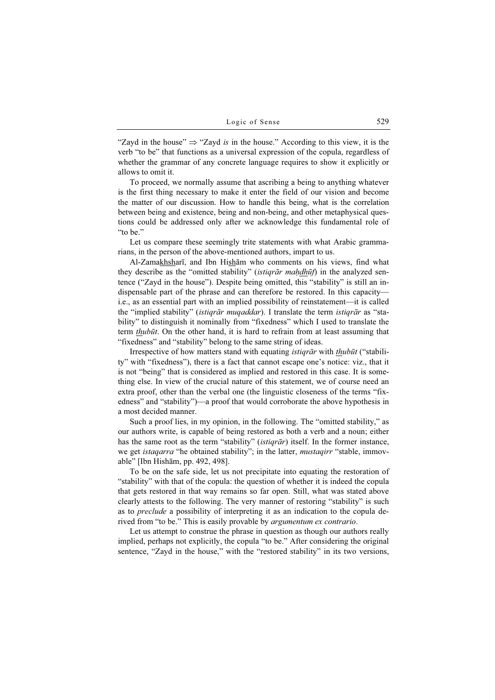"Zayd in the house"  $\Rightarrow$  "Zayd is in the house." According to this view, it is the verb "to be" that functions as a universal expression of the copula, regardless of whether the grammar of any concrete language requires to show it explicitly or allows to omit it.

To proceed, we normally assume that ascribing a being to anything whatever is the first thing necessary to make it enter the field of our vision and become the matter of our discussion. How to handle this being, what is the correlation between being and existence, being and non-being, and other metaphysical questions could be addressed only after we acknowledge this fundamental role of "to be."

Let us compare these seemingly trite statements with what Arabic grammarians, in the person of the above-mentioned authors, impart to us.

Al-Zamakhsharī, and Ibn Hishām who comments on his views, find what they describe as the "omitted stability" *(istiqrār maḥdhūf)* in the analyzed sentence ("Zayd in the house"). Despite being omitted, this "stability" is still an indispensable part of the phrase and can therefore be restored. In this capacity i.e., as an essential part with an implied possibility of reinstatement—it is called the "implied stability" *(istiqrār muqaddar)*. I translate the term *istiqrār* as "stability" to distinguish it nominally from "fixedness" which I used to translate the term thubūt. On the other hand, it is hard to refrain from at least assuming that "fixedness" and "stability" belong to the same string of ideas.

Irrespective of how matters stand with equating *istiqrār* with *thubūt* ("stability" with "fixedness"), there is a fact that cannot escape one's notice: viz., that it is not "being" that is considered as implied and restored in this case. It is something else. In view of the crucial nature of this statement, we of course need an extra proof, other than the verbal one (the linguistic closeness of the terms "fixedness" and "stability")—a proof that would corroborate the above hypothesis in a most decided manner.

Such a proof lies, in my opinion, in the following. The "omitted stability," as our authors write, is capable of being restored as both a verb and a noun; either has the same root as the term "stability" (*istiqrār*) itself. In the former instance, we get *istaqarra* "he obtained stability"; in the latter, *mustaqirr* "stable, immovable" [Ibn Hishām, pp. 492, 498].

To be on the safe side, let us not precipitate into equating the restoration of "stability" with that of the copula: the question of whether it is indeed the copula that gets restored in that way remains so far open. Still, what was stated above clearly attests to the following. The very manner of restoring "stability" is such as to *preclude* a possibility of interpreting it as an indication to the copula derived from "to be." This is easily provable by *argumentum ex contrario*.

Let us attempt to construe the phrase in question as though our authors really implied, perhaps not explicitly, the copula "to be." After considering the original sentence, "Zayd in the house," with the "restored stability" in its two versions,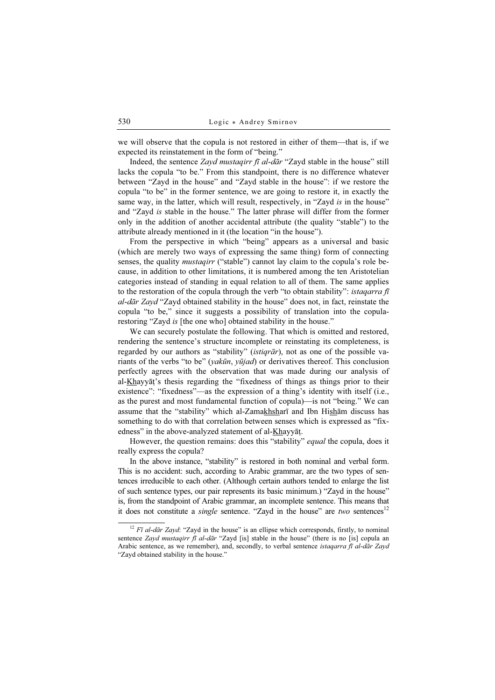we will observe that the copula is not restored in either of them—that is, if we expected its reinstatement in the form of "being."

Indeed, the sentence Zayd mustaqirr fī al-dār "Zayd stable in the house" still lacks the copula "to be." From this standpoint, there is no difference whatever between "Zayd in the house" and "Zayd stable in the house": if we restore the copula "to be" in the former sentence, we are going to restore it, in exactly the same way, in the latter, which will result, respectively, in "Zayd is in the house" and "Zayd is stable in the house." The latter phrase will differ from the former only in the addition of another accidental attribute (the quality "stable") to the attribute already mentioned in it (the location "in the house").

From the perspective in which "being" appears as a universal and basic (which are merely two ways of expressing the same thing) form of connecting senses, the quality *mustaqirr* ("stable") cannot lay claim to the copula's role because, in addition to other limitations, it is numbered among the ten Aristotelian categories instead of standing in equal relation to all of them. The same applies to the restoration of the copula through the verb "to obtain stability": *istagarra fi* al-dār Zayd "Zayd obtained stability in the house" does not, in fact, reinstate the copula "to be," since it suggests a possibility of translation into the copularestoring "Zayd is [the one who] obtained stability in the house."

We can securely postulate the following. That which is omitted and restored, rendering the sentence's structure incomplete or reinstating its completeness, is regarded by our authors as "stability" *(istiqrar)*, not as one of the possible variants of the verbs "to be" (yakūn, yūjad) or derivatives thereof. This conclusion perfectly agrees with the observation that was made during our analysis of al-Khayyāṭ's thesis regarding the "fixedness of things as things prior to their existence": "fixedness"—as the expression of a thing's identity with itself (i.e., as the purest and most fundamental function of copula)—is not "being." We can assume that the "stability" which al-Zamakhsharī and Ibn Hisham discuss has something to do with that correlation between senses which is expressed as "fixedness" in the above-analyzed statement of al-Khayyāṭ.

However, the question remains: does this "stability" *equal* the copula, does it really express the copula?

In the above instance, "stability" is restored in both nominal and verbal form. This is no accident: such, according to Arabic grammar, are the two types of sentences irreducible to each other. (Although certain authors tended to enlarge the list of such sentence types, our pair represents its basic minimum.) "Zayd in the house" is, from the standpoint of Arabic grammar, an incomplete sentence. This means that it does not constitute a *single* sentence. "Zayd in the house" are two sentences<sup>12</sup>

 $12$  Fī al-dār Zayd: "Zayd in the house" is an ellipse which corresponds, firstly, to nominal sentence Zayd mustaqirr fī al-dār "Zayd [is] stable in the house" (there is no [is] copula an Arabic sentence, as we remember), and, secondly, to verbal sentence istaqarra fī al-dār Zayd "Zayd obtained stability in the house."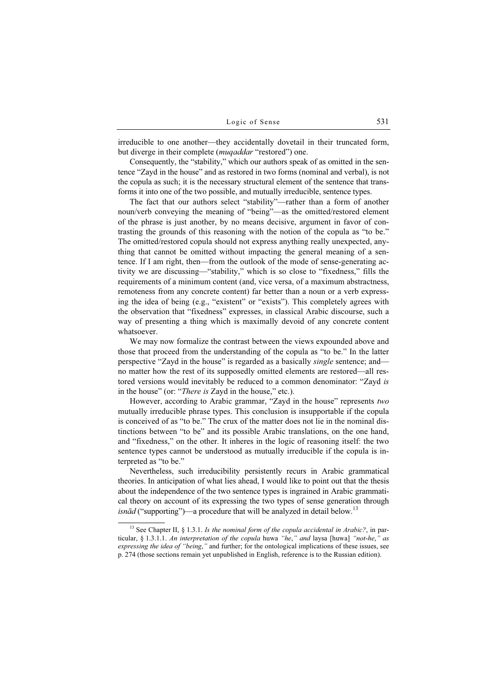irreducible to one another—they accidentally dovetail in their truncated form, but diverge in their complete (*muqaddar* "restored") one.

Consequently, the "stability," which our authors speak of as omitted in the sentence "Zayd in the house" and as restored in two forms (nominal and verbal), is not the copula as such; it is the necessary structural element of the sentence that transforms it into one of the two possible, and mutually irreducible, sentence types.

The fact that our authors select "stability"—rather than a form of another noun/verb conveying the meaning of "being"—as the omitted/restored element of the phrase is just another, by no means decisive, argument in favor of contrasting the grounds of this reasoning with the notion of the copula as "to be." The omitted/restored copula should not express anything really unexpected, anything that cannot be omitted without impacting the general meaning of a sentence. If I am right, then—from the outlook of the mode of sense-generating activity we are discussing—"stability," which is so close to "fixedness," fills the requirements of a minimum content (and, vice versa, of a maximum abstractness, remoteness from any concrete content) far better than a noun or a verb expressing the idea of being (e.g., "existent" or "exists"). This completely agrees with the observation that "fixedness" expresses, in classical Arabic discourse, such a way of presenting a thing which is maximally devoid of any concrete content whatsoever.

We may now formalize the contrast between the views expounded above and those that proceed from the understanding of the copula as "to be." In the latter perspective "Zayd in the house" is regarded as a basically single sentence; and no matter how the rest of its supposedly omitted elements are restored—all restored versions would inevitably be reduced to a common denominator: "Zayd is in the house" (or: "*There is* Zayd in the house," etc.).

However, according to Arabic grammar, "Zayd in the house" represents two mutually irreducible phrase types. This conclusion is insupportable if the copula is conceived of as "to be." The crux of the matter does not lie in the nominal distinctions between "to be" and its possible Arabic translations, on the one hand, and "fixedness," on the other. It inheres in the logic of reasoning itself: the two sentence types cannot be understood as mutually irreducible if the copula is interpreted as "to be."

Nevertheless, such irreducibility persistently recurs in Arabic grammatical theories. In anticipation of what lies ahead, I would like to point out that the thesis about the independence of the two sentence types is ingrained in Arabic grammatical theory on account of its expressing the two types of sense generation through *isnād* ("supporting")—a procedure that will be analyzed in detail below.<sup>13</sup>

<sup>&</sup>lt;sup>13</sup> See Chapter II, § 1.3.1. Is the nominal form of the copula accidental in Arabic?, in particular, § 1.3.1.1. An interpretation of the copula huwa "he," and laysa [huwa] "not-he," as expressing the idea of "being," and further; for the ontological implications of these issues, see p. 274 (those sections remain yet unpublished in English, reference is to the Russian edition).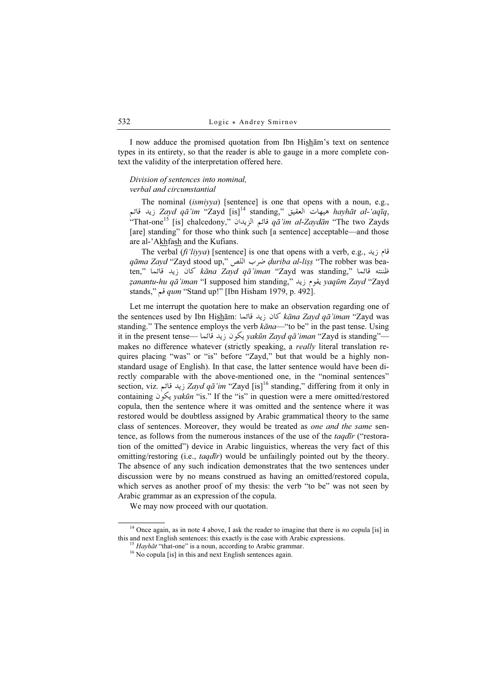I now adduce the promised quotation from Ibn Hishām's text on sentence types in its entirety, so that the reader is able to gauge in a more complete context the validity of the interpretation offered here.

## Division of sentences into nominal, verbal and circumstantial

The nominal *(ismiyya)* [sentence] is one that opens with a noun, e.g., ديد قائم hayhāt al-'aqīq," هيهات العقيق ",Zayd qā'im "Zayd [is] standing<br>سيد 17 - 17 كل سيد 17 مليون من التاريخ العالمية العالمية التاريخ التاريخ التاريخ التاريخ التاريخ التاريخ التار  $\frac{d}{dt}$ "That-one<sup>15</sup> [is] chalcedony," قائم الزيدان  $q\bar{a}'$ im al-Zaydān "The two Zayds" [are] standing" for those who think such [a sentence] acceptable—and those are al-'Akhfash and the Kufians.

The verbal (fi'liyya) [sentence] is one that opens with a verb, e.g., قام زيد qāma Zayd "Zayd stood up," ضرب اللص "duriba al-liṣṣ "The robber was beaten," خلننته قائما  $k\bar{a}$ na Zayd qā'iman "Zayd was standing," خلننة قائما ẓanantu-hu qā'iman "I supposed him standing," ! yaqūm Zayd "Zayd stands," قم *qum* "Stand up!" [Ibn Hisham 1979, p. 492].

Let me interrupt the quotation here to make an observation regarding one of the sentences used by Ibn Hisham: كان زيد قائماZayd qā'iman "Zayd was standing." The sentence employs the verb  $k\bar{a}na$ —"to be" in the past tense. Using it in the present tense— يكون زيد قائما يكاف vakūn Zayd qā'iman "Zayd is standing" makes no difference whatever (strictly speaking, a *really* literal translation requires placing "was" or "is" before "Zayd," but that would be a highly nonstandard usage of English). In that case, the latter sentence would have been directly comparable with the above-mentioned one, in the "nominal sentences" section, viz. ديد قائع Zayd qā'im "Zayd [is]<sup>16</sup> standing," differing from it only in containing  $\log v$  *yakūn* "is." If the "is" in question were a mere omitted/restored copula, then the sentence where it was omitted and the sentence where it was restored would be doubtless assigned by Arabic grammatical theory to the same class of sentences. Moreover, they would be treated as *one and the same* sentence, as follows from the numerous instances of the use of the *taqdīr* ("restoration of the omitted") device in Arabic linguistics, whereas the very fact of this omitting/restoring (i.e., *taqdīr*) would be unfailingly pointed out by the theory. The absence of any such indication demonstrates that the two sentences under discussion were by no means construed as having an omitted/restored copula, which serves as another proof of my thesis: the verb "to be" was not seen by Arabic grammar as an expression of the copula.

We may now proceed with our quotation.

<sup>&</sup>lt;sup>14</sup> Once again, as in note 4 above, I ask the reader to imagine that there is no copula [is] in this and next English sentences: this exactly is the case with Arabic expressions. <sup>15</sup> Hayhāt "that-one" is a noun, according to Arabic grammar. <sup>16</sup> No copula [is] in this and next English sentences again.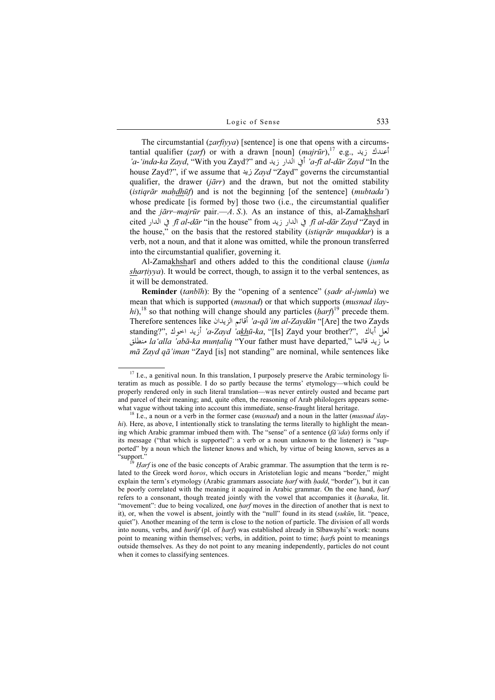The circumstantial  $(zarfi yya)$  [sentence] is one that opens with a circumstantial qualifier (zarf) or with a drawn [noun] (majrūr),<sup>17</sup> e.g., أعندك زيد 'a-'inda-ka Zayd, "With you Zayd?" and أَفِي الْدارِ زِيْد a-fī al-dār Zayd "In the house Zayd?", if we assume that زيد Zayd "Zayd" governs the circumstantial qualifier, the drawer  $(i\bar{a}rr)$  and the drawn, but not the omitted stability (istiqrār maḥ $dh\bar{u}f$ ) and is not the beginning [of the sentence] (mubtada') whose predicate [is formed by] those two (i.e., the circumstantial qualifier and the  $j\bar{a}rr$ -majrūr pair.—A. S.). As an instance of this, al-Zamakhsharī cited في الدار (بيد fi al-dār "in the house" from في الدار fi al-dār "in the house" from the house," on the basis that the restored stability *(istiqrār muqaddar)* is a verb, not a noun, and that it alone was omitted, while the pronoun transferred into the circumstantial qualifier, governing it.

Al-Zamakhsharī and others added to this the conditional clause (jumla  $sharityya$ ). It would be correct, though, to assign it to the verbal sentences, as it will be demonstrated.

**Reminder** (tanbīh): By the "opening of a sentence" (sadr al-jumla) we mean that which is supported (*musnad*) or that which supports (*musnad ilay*hi),<sup>18</sup> so that nothing will change should any particles  $(harf)^{19}$  precede them. Therefore sentences like أقائم الزيدان 'a-qā'im al-Zaydān "[Are] the two Zayds<br>- يولي المسابق المسابق العالمين المستقل العالمين المستقل العالمين المستقل العالمين المستقل العالمين المستقل ال standing?", أزيد اخوك 'a-Zayd 'akhū-ka, "[Is] Zayd your brother?", أباك ما زيد قائما ''، la'alla 'abā-ka munṭaliq ''Your father must have departed,  $m\bar{a}$  Zayd q $\bar{a}'$ iman "Zayd [is] not standing" are nominal, while sentences like

<sup>&</sup>lt;sup>17</sup> I.e., a genitival noun. In this translation, I purposely preserve the Arabic terminology literatim as much as possible. I do so partly because the terms' etymology—which could be properly rendered only in such literal translation—was never entirely ousted and became part and parcel of their meaning; and, quite often, the reasoning of Arab philologers appears somewhat vague without taking into account this immediate, sense-fraught literal heritage.<br><sup>18</sup> I.e., a noun or a verb in the former case (*musnad*) and a noun in the latter (*musnad ilay*-

 $hi$ ). Here, as above, I intentionally stick to translating the terms literally to highlight the meaning which Arabic grammar imbued them with. The "sense" of a sentence  $(f\bar{a}'ida)$  forms only if its message ("that which is supported": a verb or a noun unknown to the listener) is "supported" by a noun which the listener knows and which, by virtue of being known, serves as a "support."

Harf is one of the basic concepts of Arabic grammar. The assumption that the term is related to the Greek word horos, which occurs in Aristotelian logic and means "border," might explain the term's etymology (Arabic grammars associate harf with hadd, "border"), but it can be poorly correlated with the meaning it acquired in Arabic grammar. On the one hand, *harf* refers to a consonant, though treated jointly with the vowel that accompanies it (*haraka*, lit. "movement": due to being vocalized, one *harf* moves in the direction of another that is next to it), or, when the vowel is absent, jointly with the "null" found in its stead (sukūn, lit. "peace, quiet"). Another meaning of the term is close to the notion of particle. The division of all words into nouns, verbs, and  $huri f(p)$ . of  $harf$ ) was established already in Sībawayhi's work: nouns point to meaning within themselves; verbs, in addition, point to time; *harfs* point to meanings outside themselves. As they do not point to any meaning independently, particles do not count when it comes to classifying sentences.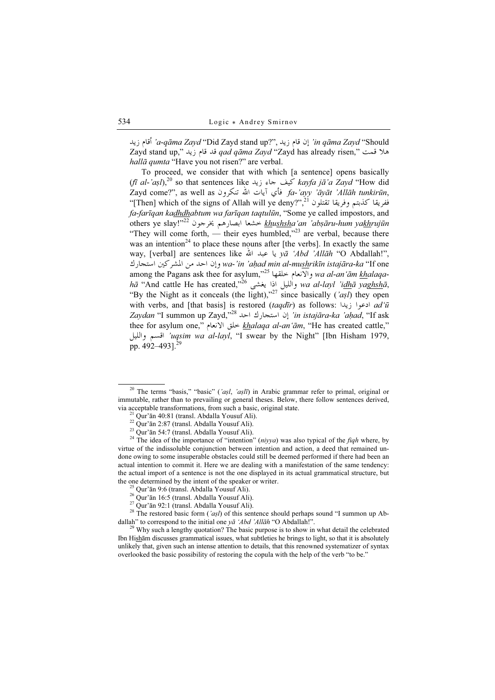in qāma Zayd "Should" إن قام زيد ,'''a-qāma Zayd "Did Zayd stand up?'', أقام زيد Zayd stand up," هالا قمت " gad qāma Zayd "Zayd has already risen, hallā qumta "Have you not risen?" are verbal.

To proceed, we consider that with which [a sentence] opens basically  $(f\bar{t}al-\alpha s\bar{l})$ ,<sup>20</sup> so that sentences like  $\frac{1}{2}$   $\frac{1}{2}$   $\frac{1}{2}$   $\frac{1}{2}$   $\frac{1}{2}$   $\frac{1}{2}$   $\frac{1}{2}$   $\frac{1}{2}$   $\frac{1}{2}$   $\frac{1}{2}$   $\frac{1}{2}$   $\frac{1}{2}$   $\frac{1}{2}$   $\frac{1}{2}$   $\frac{1}{2}$   $\frac{1}{2}$   $\frac{1}{2}$   $\frac{1}{$  $Z$ ayd come?", as well as فأى آيات الله تنكرون fa-'ayy 'āyāt 'Allāh tunkirūn,  $\cdot$ "[Then] which of the signs of Allah will ye deny?",<sup>21</sup> نفريقا كذبتم وفريقا تقتلون<br>( مقدم العالم العالم العالم العالم العالم العالم العالم العالم العالم العالم العالم العالم العالم العالم العالم fa-farīqan kadhdhabtum wa farīqan taqtulūn, "Some ye called impostors, and others ye slay!"<sup>22</sup> لتحشعا ابصارهم يخرجون <sup>22</sup>'!thu<u>shsh</u>a'an *'abṣāru-hum ya<u>kh</u>rujūn*<br>(Khu ahaan<sup>233</sup> "They will come forth, — their eyes humbled,"<sup>23</sup> are verbal, because there was an intention<sup>24</sup> to place these nouns after [the verbs]. In exactly the same way, [verbal] are sentences like يا عبد الله vā 'Abd 'Allāh "O Abdallah!", *wa-'in 'aḥad min al-mu<u>sh</u>rikīn istajāra-ka* "If one وإن احد من المشركين استجارك among the Pagans ask thee for asylum,"<sup>25</sup> ( Wii wa al-an'ām khalaqahā "And cattle He has created,"<sup>26</sup> والليل اذا يغشى <sup>366</sup> wa al-layl 'i<u>dh</u>ā yag<u>hsh</u>ā, "By the Night as it conceals (the light),"<sup>27</sup> since basically ('asl) they open with verbs, and [that basis] is restored (taqdīr) as follows: ادعوا زيدا  $ad'\bar{u}$  $Zaydan$  "I summon up  $Zayd$ ,"28 احد  $Zayd^2$  'in istajāra-ka 'ahad, "If ask thee for asylum one," خلق الانعام *khalaqa al-an'ām*, "He has created cattle," أقسم والليل 'uqsim wa al-layl, "I swear by the Night" [Ibn Hisham 1979,<br>د 1901 - 1903 اقعاد السمع pp.  $492 - 4931^{29}$ 

<sup>27</sup> Qur'ān 92:1 (transl. Abdalla Yousuf Ali).

<sup>28</sup> The restored basic form ('aşl) of this sentence should perhaps sound "I summon up Ab-<br>dallah" to correspond to the initial one  $y\bar{a}$  'Abd 'Allah "O Abdallah!".

 $29$  Why such a lengthy quotation? The basic purpose is to show in what detail the celebrated Ibn Hishām discusses grammatical issues, what subtleties he brings to light, so that it is absolutely unlikely that, given such an intense attention to details, that this renowned systematizer of syntax overlooked the basic possibility of restoring the copula with the help of the verb "to be."

<sup>&</sup>lt;sup>20</sup> The terms "basis," "basic" ('aṣl, 'aṣlī) in Arabic grammar refer to primal, original or immutable, rather than to prevailing or general theses. Below, there follow sentences derived, via acceptable transformations, from such a basic, original state. <sup>21</sup> Qur'ān 40:81 (transl. Abdalla Yousuf Ali).

<sup>22</sup> Qur'ān 2:87 (transl. Abdalla Yousuf Ali).

<sup>23</sup> Qur'ān 54:7 (transl. Abdalla Yousuf Ali).

<sup>&</sup>lt;sup>24</sup> The idea of the importance of "intention" (*niyya*) was also typical of the *fiqh* where, by virtue of the indissoluble conjunction between intention and action, a deed that remained undone owing to some insuperable obstacles could still be deemed performed if there had been an actual intention to commit it. Here we are dealing with a manifestation of the same tendency: the actual import of a sentence is not the one displayed in its actual grammatical structure, but the one determined by the intent of the speaker or writer. <sup>25</sup> Qur'ān 9:6 (transl. Abdalla Yousuf Ali).

<sup>26</sup> Qur'ān 16:5 (transl. Abdalla Yousuf Ali).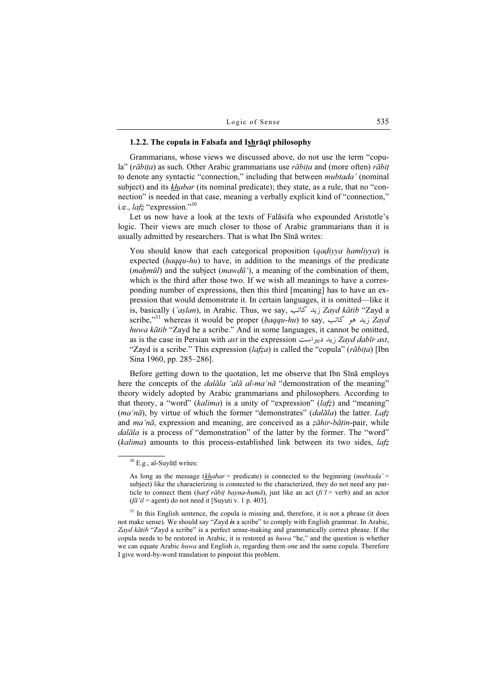#### 1.2.2. The copula in Falsafa and Ishrāqī philosophy

Grammarians, whose views we discussed above, do not use the term "copula" (rābita) as such. Other Arabic grammarians use rābita and (more often) rābit to denote any syntactic "connection," including that between *mubtada'* (nominal subject) and its *khabar* (its nominal predicate); they state, as a rule, that no "connection" is needed in that case, meaning a verbally explicit kind of "connection," i.e.,  $lafz$  "expression."<sup>30</sup>

Let us now have a look at the texts of Falāsifa who expounded Aristotle's logic. Their views are much closer to those of Arabic grammarians than it is usually admitted by researchers. That is what Ibn Sīnā writes:

You should know that each categorical proposition (*qadiyya ḥamliyya*) is expected (haqqu-hu) to have, in addition to the meanings of the predicate (*mahmūl*) and the subject (*mawdū*), a meaning of the combination of them, which is the third after those two. If we wish all meanings to have a corresponding number of expressions, then this third [meaning] has to have an expression that would demonstrate it. In certain languages, it is omitted—like it is, basically ('aşlan), in Arabic. Thus, we say, زيد كاتب ; Zayd kātib "Zayd a scribe,"<sup>31</sup> whereas it would be proper (haqqu-hu) to say, زید هو کاتب  $Zavd$ huwa kātib "Zayd he a scribe." And in some languages, it cannot be omitted, as is the case in Persian with *ast* in the expression *i* يد دبير است *Zayd dabīr ast*, "Zayd is a scribe." This expression  $(lafza)$  is called the "copula" (rābita) [Ibn Sina 1960, pp. 285–286].

Before getting down to the quotation, let me observe that Ibn Sīnā employs here the concepts of the *dalāla 'alā al-ma'nā* "demonstration of the meaning" theory widely adopted by Arabic grammarians and philosophers. According to that theory, a "word" (kalima) is a unity of "expression" ( $lafz$ ) and "meaning"  $(ma'n\bar{a})$ , by virtue of which the former "demonstrates" (dalāla) the latter. Lafz and ma'nā, expression and meaning, are conceived as a zāhir-bāṭin-pair, while dalāla is a process of "demonstration" of the latter by the former. The "word"  $(kalima)$  amounts to this process-established link between its two sides,  $la\tau$ 

 $31$  In this English sentence, the copula is missing and, therefore, it is not a phrase (it does not make sense). We should say "Zayd is a scribe" to comply with English grammar. In Arabic, Zayd kātib "Zayd a scribe" is a perfect sense-making and grammatically correct phrase. If the copula needs to be restored in Arabic, it is restored as huwa "he," and the question is whether we can equate Arabic *huwa* and English is, regarding them one and the same copula. Therefore I give word-by-word translation to pinpoint this problem.

<sup>30</sup> E.g., al-Suyūṭī writes:

As long as the message ( $khabar =$  predicate) is connected to the beginning (*mubtada'* = subject) like the characterizing is connected to the characterized, they do not need any particle to connect them (harf rābit bayna-humā), just like an act (fi'l = verb) and an actor  $(f\bar{a}$ 'il = agent) do not need it [Suyuti v. 1 p. 403].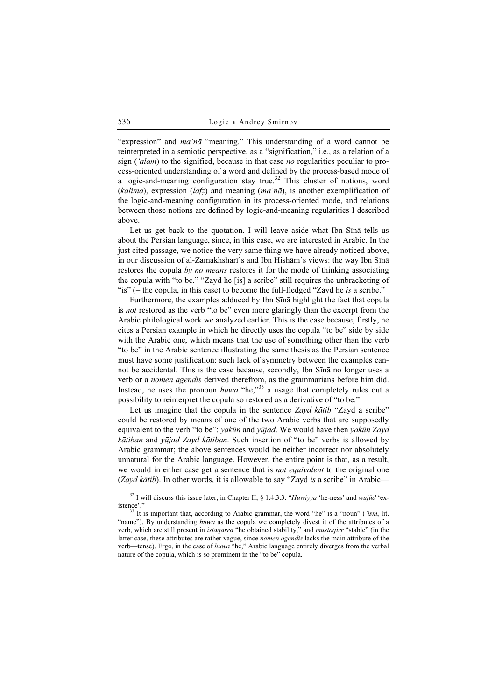"expression" and ma'nā "meaning." This understanding of a word cannot be reinterpreted in a semiotic perspective, as a "signification," i.e., as a relation of a sign ( $'$ alam) to the signified, because in that case no regularities peculiar to process-oriented understanding of a word and defined by the process-based mode of a logic-and-meaning configuration stay true.<sup>32</sup> This cluster of notions, word (kalima), expression (lafz) and meaning (ma'na), is another exemplification of the logic-and-meaning configuration in its process-oriented mode, and relations between those notions are defined by logic-and-meaning regularities I described above.

Let us get back to the quotation. I will leave aside what Ibn Sīnā tells us about the Persian language, since, in this case, we are interested in Arabic. In the just cited passage, we notice the very same thing we have already noticed above, in our discussion of al-Zamakhsharī's and Ibn Hishām's views: the way Ibn Sīnā restores the copula by no means restores it for the mode of thinking associating the copula with "to be." "Zayd he [is] a scribe" still requires the unbracketing of "is" (= the copula, in this case) to become the full-fledged "Zayd he is a scribe."

Furthermore, the examples adduced by Ibn Sīnā highlight the fact that copula is *not* restored as the verb "to be" even more glaringly than the excerpt from the Arabic philological work we analyzed earlier. This is the case because, firstly, he cites a Persian example in which he directly uses the copula "to be" side by side with the Arabic one, which means that the use of something other than the verb "to be" in the Arabic sentence illustrating the same thesis as the Persian sentence must have some justification: such lack of symmetry between the examples cannot be accidental. This is the case because, secondly, Ibn Sīnā no longer uses a verb or a nomen agendis derived therefrom, as the grammarians before him did. Instead, he uses the pronoun *huwa* "he,"<sup>33</sup> a usage that completely rules out a possibility to reinterpret the copula so restored as a derivative of "to be."

Let us imagine that the copula in the sentence Zayd kātib "Zayd a scribe" could be restored by means of one of the two Arabic verbs that are supposedly equivalent to the verb "to be": yakūn and yūjad. We would have then yakūn Zayd kātiban and yūjad Zayd kātiban. Such insertion of "to be" verbs is allowed by Arabic grammar; the above sentences would be neither incorrect nor absolutely unnatural for the Arabic language. However, the entire point is that, as a result, we would in either case get a sentence that is *not equivalent* to the original one (Zayd kātib). In other words, it is allowable to say "Zayd is a scribe" in Arabic—

 $32$  I will discuss this issue later, in Chapter II, § 1.4.3.3. "Huwiyya 'he-ness' and wujūd 'existence'." <sup>33</sup> It is important that, according to Arabic grammar, the word "he" is a "noun" ('ism, lit.

<sup>&</sup>quot;name"). By understanding huwa as the copula we completely divest it of the attributes of a verb, which are still present in *istaqarra* "he obtained stability," and *mustaqirr* "stable" (in the latter case, these attributes are rather vague, since *nomen agendis* lacks the main attribute of the verb—tense). Ergo, in the case of huwa "he," Arabic language entirely diverges from the verbal nature of the copula, which is so prominent in the "to be" copula.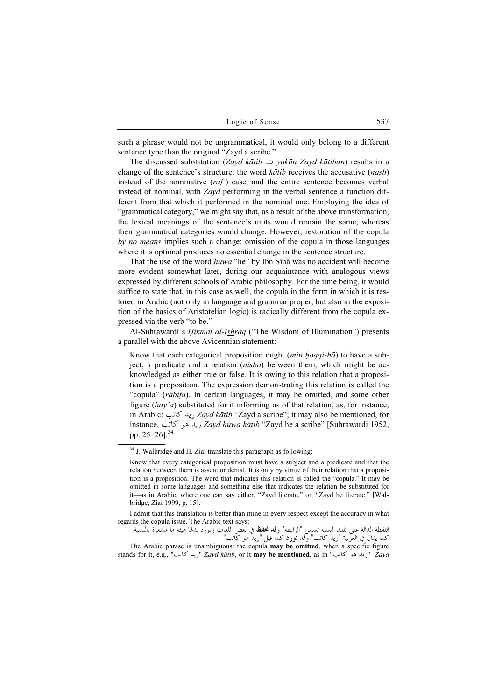such a phrase would not be ungrammatical, it would only belong to a different sentence type than the original "Zayd a scribe."

The discussed substitution (Zayd kātib  $\Rightarrow$  yakūn Zayd kātiban) results in a change of the sentence's structure: the word  $k\bar{a}t\bar{b}$  receives the accusative (*nasb*) instead of the nominative  $(raf)$  case, and the entire sentence becomes verbal instead of nominal, with Zayd performing in the verbal sentence a function different from that which it performed in the nominal one. Employing the idea of "grammatical category," we might say that, as a result of the above transformation, the lexical meanings of the sentence's units would remain the same, whereas their grammatical categories would change. However, restoration of the copula by no means implies such a change: omission of the copula in those languages where it is optional produces no essential change in the sentence structure.

That the use of the word huwa "he" by Ibn Sīnā was no accident will become more evident somewhat later, during our acquaintance with analogous views expressed by different schools of Arabic philosophy. For the time being, it would suffice to state that, in this case as well, the copula in the form in which it is restored in Arabic (not only in language and grammar proper, but also in the exposition of the basics of Aristotelian logic) is radically different from the copula expressed via the verb "to be."

Al-Suhrawardī's *Hikmat al-Ishrāq* ("The Wisdom of Illumination") presents a parallel with the above Avicennian statement:

Know that each categorical proposition ought (*min haqqi-hā*) to have a subject, a predicate and a relation (nisba) between them, which might be acknowledged as either true or false. It is owing to this relation that a proposition is a proposition. The expression demonstrating this relation is called the "copula" (rābita). In certain languages, it may be omitted, and some other figure (hay'a) substituted for it informing us of that relation, as, for instance, in Arabic: نید کاتب; Zayd kātib "Zayd a scribe"; it may also be mentioned, for instance, زيد هو كاتب Zayd huwa kātib "Zayd he a scribe" [Suhrawardi 1952, pp. 25–26].<sup>34</sup>

I admit that this translation is better than mine in every respect except the accuracy in what regards the copula issue. The Arabic text says:

اللفظة الدالة على تلك النسبة تسمى "الرابطة" و**قد تحفظ** في بعض اللغات ويورد بدلها هيئة ما مشعرة بالنسبة<br>كما يقال في العربية "زيد كاتب" و**قد تورد** كما قيل "زيد هو كاتب" The Arabic phrase is unambiguous: the copula may be omitted, when a specific figure

stands for it, e.g., "زيد حاتب" Zayd kātib, or it may be mentioned, as in "زيد هو كاتب" Zayd

 $34$  J. Walbridge and H. Ziai translate this paragraph as following:

Know that every categorical proposition must have a subject and a predicate and that the relation between them is assent or denial. It is only by virtue of their relation that a proposition is a proposition. The word that indicates this relation is called the "copula." It may be omitted in some languages and something else that indicates the relation be substituted for it—as in Arabic, where one can say either, "Zayd literate," or, "Zayd he literate." [Walbridge, Ziai 1999, p. 15].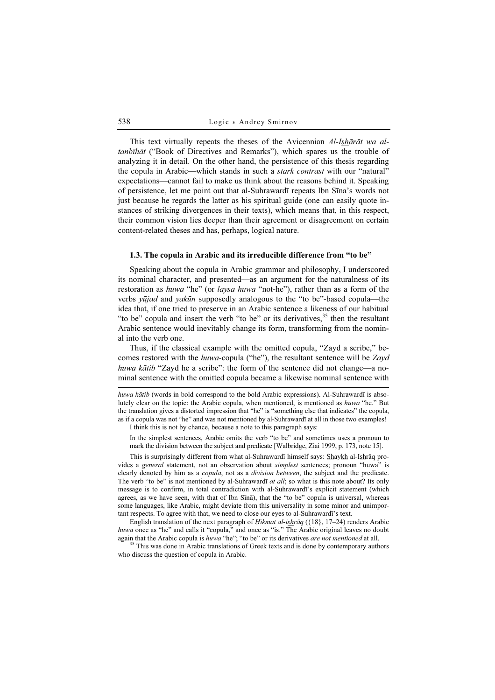This text virtually repeats the theses of the Avicennian Al-Ishārāt wa altanbīhāt ("Book of Directives and Remarks"), which spares us the trouble of analyzing it in detail. On the other hand, the persistence of this thesis regarding the copula in Arabic—which stands in such a *stark contrast* with our "natural" expectations—cannot fail to make us think about the reasons behind it. Speaking of persistence, let me point out that al-Suhrawardī repeats Ibn Sīna's words not just because he regards the latter as his spiritual guide (one can easily quote instances of striking divergences in their texts), which means that, in this respect, their common vision lies deeper than their agreement or disagreement on certain content-related theses and has, perhaps, logical nature.

#### 1.3. The copula in Arabic and its irreducible difference from "to be"

Speaking about the copula in Arabic grammar and philosophy, I underscored its nominal character, and presented—as an argument for the naturalness of its restoration as huwa "he" (or laysa huwa "not-he"), rather than as a form of the verbs yūjad and yakūn supposedly analogous to the "to be"-based copula—the idea that, if one tried to preserve in an Arabic sentence a likeness of our habitual "to be" copula and insert the verb "to be" or its derivatives, $3<sup>5</sup>$  then the resultant Arabic sentence would inevitably change its form, transforming from the nominal into the verb one.

Thus, if the classical example with the omitted copula, "Zayd a scribe," becomes restored with the huwa-copula ("he"), the resultant sentence will be Zayd huwa kātib "Zayd he a scribe": the form of the sentence did not change—a nominal sentence with the omitted copula became a likewise nominal sentence with

huwa kātib (words in bold correspond to the bold Arabic expressions). Al-Suhrawardī is absolutely clear on the topic: the Arabic copula, when mentioned, is mentioned as huwa "he." But the translation gives a distorted impression that "he" is "something else that indicates" the copula, as if a copula was not "he" and was not mentioned by al-Suhrawardī at all in those two examples! I think this is not by chance, because a note to this paragraph says:

In the simplest sentences, Arabic omits the verb "to be" and sometimes uses a pronoun to

mark the division between the subject and predicate [Walbridge, Ziai 1999, p. 173, note 15].

This is surprisingly different from what al-Suhrawardī himself says: Shaykh al-Ishrāq provides a *general* statement, not an observation about *simplest* sentences; pronoun "huwa" is clearly denoted by him as a *copula*, not as a *division between*, the subject and the predicate. The verb "to be" is not mentioned by al-Suhraward<del>i</del> *at all*; so what is this note about? Its only message is to confirm, in total contradiction with al-Suhrawardī's explicit statement (which agrees, as we have seen, with that of Ibn Sīnā), that the "to be" copula is universal, whereas some languages, like Arabic, might deviate from this universality in some minor and unimportant respects. To agree with that, we need to close our eyes to al-Suhrawardī's text.

English translation of the next paragraph of *Hikmat al-ishrāq* ( $\{18\}, 17–24$ ) renders Arabic huwa once as "he" and calls it "copula," and once as "is." The Arabic original leaves no doubt again that the Arabic copula is huwa "he"; "to be" or its derivatives *are not mentioned* at all.  $35$  This was done in Arabic translations of Greek texts and is done by contemporary authors

who discuss the question of copula in Arabic.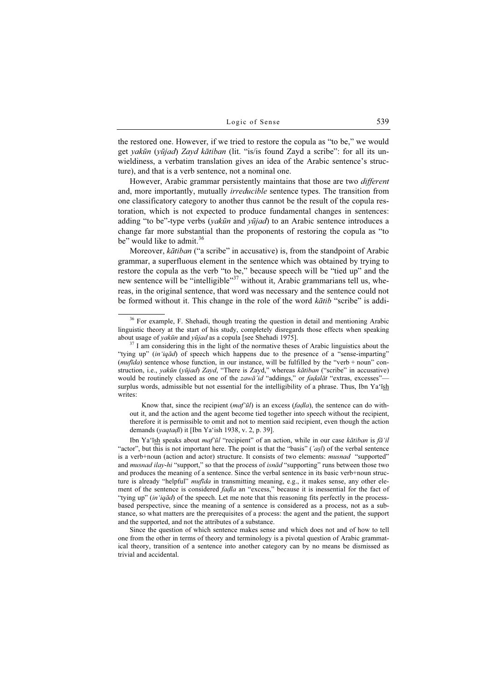the restored one. However, if we tried to restore the copula as "to be," we would get yakūn (yūjad) Zayd kātiban (lit. "is/is found Zayd a scribe": for all its unwieldiness, a verbatim translation gives an idea of the Arabic sentence's structure), and that is a verb sentence, not a nominal one.

However, Arabic grammar persistently maintains that those are two *different* and, more importantly, mutually irreducible sentence types. The transition from one classificatory category to another thus cannot be the result of the copula restoration, which is not expected to produce fundamental changes in sentences: adding "to be"-type verbs (*yakūn* and  $y\bar{u}i$  to an Arabic sentence introduces a change far more substantial than the proponents of restoring the copula as "to be" would like to admit. $36$ 

Moreover, kātiban ("a scribe" in accusative) is, from the standpoint of Arabic grammar, a superfluous element in the sentence which was obtained by trying to restore the copula as the verb "to be," because speech will be "tied up" and the new sentence will be "intelligible"<sup>37</sup> without it, Arabic grammarians tell us, whereas, in the original sentence, that word was necessary and the sentence could not be formed without it. This change in the role of the word  $k\bar{a}t\bar{b}$  "scribe" is addi-

Know that, since the recipient  $(maf' \bar{u}l)$  is an excess (*fadla*), the sentence can do without it, and the action and the agent become tied together into speech without the recipient, therefore it is permissible to omit and not to mention said recipient, even though the action demands (yaqtaḍī) it [Ibn Ya'ish 1938, v. 2, p. 39].

Ibn Ya'īsh speaks about *maf'ūl* "recipient" of an action, while in our case kātiban is fā'il "actor", but this is not important here. The point is that the "basis" ( $'a\overline{s}l$ ) of the verbal sentence is a verb+noun (action and actor) structure. It consists of two elements: musnad "supported" and *musnad ilay-hi* "support," so that the process of *isnad* "supporting" runs between those two and produces the meaning of a sentence. Since the verbal sentence in its basic verb+noun structure is already "helpful" mufida in transmitting meaning, e.g., it makes sense, any other element of the sentence is considered *fadla* an "excess," because it is inessential for the fact of "tying up" (in 'iqād) of the speech. Let me note that this reasoning fits perfectly in the processbased perspective, since the meaning of a sentence is considered as a process, not as a substance, so what matters are the prerequisites of a process: the agent and the patient, the support and the supported, and not the attributes of a substance.

Since the question of which sentence makes sense and which does not and of how to tell one from the other in terms of theory and terminology is a pivotal question of Arabic grammatical theory, transition of a sentence into another category can by no means be dismissed as trivial and accidental.

<sup>&</sup>lt;sup>36</sup> For example, F. Shehadi, though treating the question in detail and mentioning Arabic linguistic theory at the start of his study, completely disregards those effects when speaking about usage of *vakūn* and *vūjad* as a copula [see Shehadi 1975].

 $37$  I am considering this in the light of the normative theses of Arabic linguistics about the "tying up" (in'iqād) of speech which happens due to the presence of a "sense-imparting" (mufida) sentence whose function, in our instance, will be fulfilled by the "verb + noun" construction, i.e., *yakūn* (*yūjad*) Zayd, "There is Zayd," whereas *kātiban* ("scribe" in accusative) would be routinely classed as one of the zawā'id "addings," or fadalāt "extras, excesses" surplus words, admissible but not essential for the intelligibility of a phrase. Thus, Ibn Ya'īsh writes: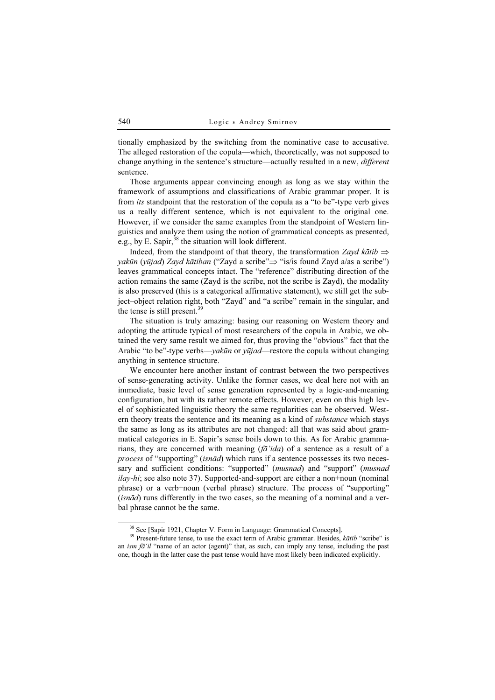tionally emphasized by the switching from the nominative case to accusative. The alleged restoration of the copula—which, theoretically, was not supposed to change anything in the sentence's structure—actually resulted in a new, *different* sentence.

Those arguments appear convincing enough as long as we stay within the framework of assumptions and classifications of Arabic grammar proper. It is from its standpoint that the restoration of the copula as a "to be"-type verb gives us a really different sentence, which is not equivalent to the original one. However, if we consider the same examples from the standpoint of Western linguistics and analyze them using the notion of grammatical concepts as presented, e.g., by E. Sapir,  $38$  the situation will look different.

Indeed, from the standpoint of that theory, the transformation Zayd kātib  $\Rightarrow$  $y$ akūn ( $y$ ūjad) Zayd kātiban ("Zayd a scribe" $\Rightarrow$  "is/is found Zayd a/as a scribe") leaves grammatical concepts intact. The "reference" distributing direction of the action remains the same (Zayd is the scribe, not the scribe is Zayd), the modality is also preserved (this is a categorical affirmative statement), we still get the subject–object relation right, both "Zayd" and "a scribe" remain in the singular, and the tense is still present.<sup>39</sup>

The situation is truly amazing: basing our reasoning on Western theory and adopting the attitude typical of most researchers of the copula in Arabic, we obtained the very same result we aimed for, thus proving the "obvious" fact that the Arabic "to be"-type verbs—yakūn or yūjad—restore the copula without changing anything in sentence structure.

We encounter here another instant of contrast between the two perspectives of sense-generating activity. Unlike the former cases, we deal here not with an immediate, basic level of sense generation represented by a logic-and-meaning configuration, but with its rather remote effects. However, even on this high level of sophisticated linguistic theory the same regularities can be observed. Western theory treats the sentence and its meaning as a kind of *substance* which stays the same as long as its attributes are not changed: all that was said about grammatical categories in E. Sapir's sense boils down to this. As for Arabic grammarians, they are concerned with meaning  $(f\bar{a}'ida)$  of a sentence as a result of a process of "supporting" (isnād) which runs if a sentence possesses its two necessary and sufficient conditions: "supported" (musnad) and "support" (musnad ilay-hi; see also note 37). Supported-and-support are either a non+noun (nominal phrase) or a verb+noun (verbal phrase) structure. The process of "supporting" (isnād) runs differently in the two cases, so the meaning of a nominal and a verbal phrase cannot be the same.

<sup>&</sup>lt;sup>38</sup> See [Sapir 1921, Chapter V. Form in Language: Grammatical Concepts].<br><sup>39</sup> Present-future tense, to use the exact term of Arabic grammar. Besides, *kātib* "scribe" is an ism  $\bar{a}$ 'il "name of an actor (agent)" that, as such, can imply any tense, including the past one, though in the latter case the past tense would have most likely been indicated explicitly.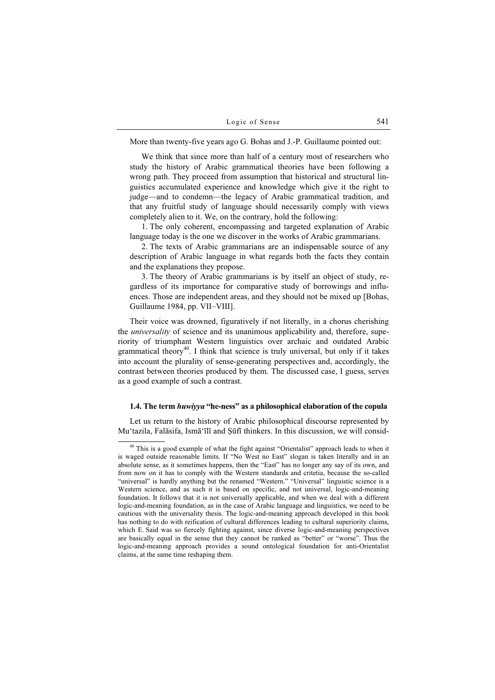More than twenty-five years ago G. Bohas and J.-P. Guillaume pointed out:

We think that since more than half of a century most of researchers who study the history of Arabic grammatical theories have been following a wrong path. They proceed from assumption that historical and structural linguistics accumulated experience and knowledge which give it the right to judge—and to condemn—the legacy of Arabic grammatical tradition, and that any fruitful study of language should necessarily comply with views completely alien to it. We, on the contrary, hold the following:

1. The only coherent, encompassing and targeted explanation of Arabic language today is the one we discover in the works of Arabic grammarians.

2. The texts of Arabic grammarians are an indispensable source of any description of Arabic language in what regards both the facts they contain and the explanations they propose.

3. The theory of Arabic grammarians is by itself an object of study, regardless of its importance for comparative study of borrowings and influences. Those are independent areas, and they should not be mixed up [Bohas, Guillaume 1984, pp. VII–VIII].

Their voice was drowned, figuratively if not literally, in a chorus cherishing the *universality* of science and its unanimous applicability and, therefore, superiority of triumphant Western linguistics over archaic and outdated Arabic grammatical theory<sup>40</sup>. I think that science is truly universal, but only if it takes into account the plurality of sense-generating perspectives and, accordingly, the contrast between theories produced by them. The discussed case, I guess, serves as a good example of such a contrast.

## 1.4. The term huwiyya "he-ness" as a philosophical elaboration of the copula

Let us return to the history of Arabic philosophical discourse represented by Mu'tazila, Falāsifa, Ismā'īlī and Ṣūfī thinkers. In this discussion, we will consid-

<sup>&</sup>lt;sup>40</sup> This is a good example of what the fight against "Orientalist" approach leads to when it is waged outside reasonable limits. If "No West no East" slogan is taken literally and in an absolute sense, as it sometimes happens, then the "East" has no longer any say of its own, and from now on it has to comply with the Western standards and critetia, because the so-called "universal" is hardly anything but the renamed "Western." "Universal" linguistic science is a Western science, and as such it is based on specific, and not universal, logic-and-meaning foundation. It follows that it is not universally applicable, and when we deal with a different logic-and-meaning foundation, as in the case of Arabic language and linguistics, we need to be cautious with the universality thesis. The logic-and-meaning approach developed in this book has nothing to do with reification of cultural differences leading to cultural superiority claims, which E. Said was so fiercely fighting against, since diverse logic-and-meaning perspectives are basically equal in the sense that they cannot be ranked as "better" or "worse". Thus the logic-and-meaning approach provides a sound ontological foundation for anti-Orientalist claims, at the same time reshaping them.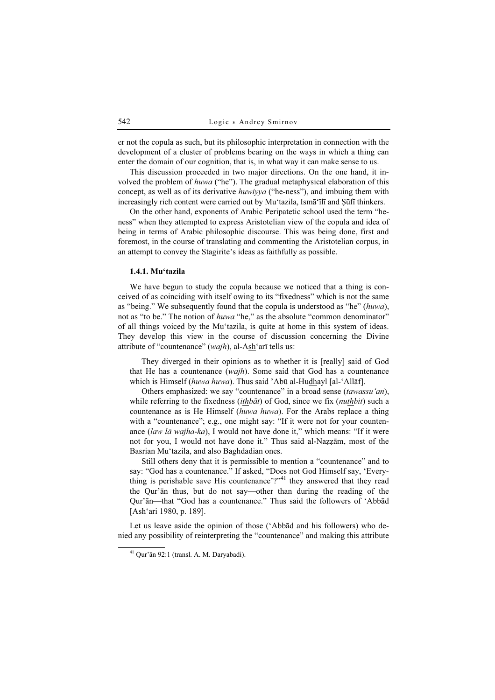er not the copula as such, but its philosophic interpretation in connection with the development of a cluster of problems bearing on the ways in which a thing can enter the domain of our cognition, that is, in what way it can make sense to us.

This discussion proceeded in two major directions. On the one hand, it involved the problem of huwa ("he"). The gradual metaphysical elaboration of this concept, as well as of its derivative huwiyya ("he-ness"), and imbuing them with increasingly rich content were carried out by Mu'tazila, Ismā'īlī and Sūfī thinkers.

On the other hand, exponents of Arabic Peripatetic school used the term "heness" when they attempted to express Aristotelian view of the copula and idea of being in terms of Arabic philosophic discourse. This was being done, first and foremost, in the course of translating and commenting the Aristotelian corpus, in an attempt to convey the Stagirite's ideas as faithfully as possible.

### 1.4.1. Mu'tazila

We have begun to study the copula because we noticed that a thing is conceived of as coinciding with itself owing to its "fixedness" which is not the same as "being." We subsequently found that the copula is understood as "he" (huwa), not as "to be." The notion of *huwa* "he," as the absolute "common denominator" of all things voiced by the Mu'tazila, is quite at home in this system of ideas. They develop this view in the course of discussion concerning the Divine attribute of "countenance" (wajh), al-Ash'arī tells us:

They diverged in their opinions as to whether it is [really] said of God that He has a countenance (wajh). Some said that God has a countenance which is Himself (huwa huwa). Thus said 'Abū al-Hudhayl [al-'Allāf].

Others emphasized: we say "countenance" in a broad sense *(tawassu'an)*, while referring to the fixedness *(ithbat)* of God, since we fix *(nuthbit)* such a countenance as is He Himself (huwa huwa). For the Arabs replace a thing with a "countenance"; e.g., one might say: "If it were not for your countenance  $(law l\bar{a} wajha-ka)$ , I would not have done it," which means: "If it were not for you, I would not have done it." Thus said al-Naẓẓām, most of the Basrian Mu'tazila, and also Baghdadian ones.

Still others deny that it is permissible to mention a "countenance" and to say: "God has a countenance." If asked, "Does not God Himself say, 'Everything is perishable save His countenance'?"<sup>41</sup> they answered that they read the Qur'ān thus, but do not say—other than during the reading of the Qur'ān—that "God has a countenance." Thus said the followers of 'Abbād [Ash'ari 1980, p. 189].

Let us leave aside the opinion of those ('Abbād and his followers) who denied any possibility of reinterpreting the "countenance" and making this attribute

<sup>41</sup> Qur'ān 92:1 (transl. A. M. Daryabadi).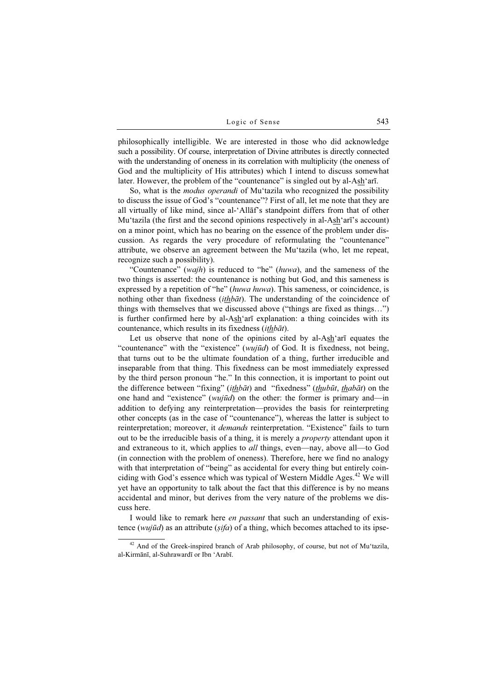philosophically intelligible. We are interested in those who did acknowledge such a possibility. Of course, interpretation of Divine attributes is directly connected with the understanding of oneness in its correlation with multiplicity (the oneness of God and the multiplicity of His attributes) which I intend to discuss somewhat later. However, the problem of the "countenance" is singled out by al-Ash'arī.

So, what is the *modus operandi* of Mu'tazila who recognized the possibility to discuss the issue of God's "countenance"? First of all, let me note that they are all virtually of like mind, since al-'Allāf's standpoint differs from that of other Mu'tazila (the first and the second opinions respectively in al-Ash'arī's account) on a minor point, which has no bearing on the essence of the problem under discussion. As regards the very procedure of reformulating the "countenance" attribute, we observe an agreement between the Mu'tazila (who, let me repeat, recognize such a possibility).

"Countenance" (*wajh*) is reduced to "he" ( $huwa$ ), and the sameness of the two things is asserted: the countenance is nothing but God, and this sameness is expressed by a repetition of "he" (huwa huwa). This sameness, or coincidence, is nothing other than fixedness *(ithbat)*. The understanding of the coincidence of things with themselves that we discussed above ("things are fixed as things…") is further confirmed here by al-Ash'arī explanation: a thing coincides with its countenance, which results in its fixedness (ithbāt).

Let us observe that none of the opinions cited by al- $A_{\text{S}}$  arī equates the "countenance" with the "existence" (*wujūd*) of God. It is fixedness, not being, that turns out to be the ultimate foundation of a thing, further irreducible and inseparable from that thing. This fixedness can be most immediately expressed by the third person pronoun "he." In this connection, it is important to point out the difference between "fixing" (*ithbāt*) and "fixedness" (*thubūt*, *thabāt*) on the one hand and "existence" (*wujūd*) on the other: the former is primary and—in addition to defying any reinterpretation—provides the basis for reinterpreting other concepts (as in the case of "countenance"), whereas the latter is subject to reinterpretation; moreover, it *demands* reinterpretation. "Existence" fails to turn out to be the irreducible basis of a thing, it is merely a property attendant upon it and extraneous to it, which applies to *all* things, even—nay, above all—to God (in connection with the problem of oneness). Therefore, here we find no analogy with that interpretation of "being" as accidental for every thing but entirely coinciding with God's essence which was typical of Western Middle Ages.<sup>42</sup> We will yet have an opportunity to talk about the fact that this difference is by no means accidental and minor, but derives from the very nature of the problems we discuss here.

I would like to remark here *en passant* that such an understanding of existence (wujūd) as an attribute ( $sifa$ ) of a thing, which becomes attached to its ipse-

<sup>&</sup>lt;sup>42</sup> And of the Greek-inspired branch of Arab philosophy, of course, but not of Mu'tazila, al-Kirmānī, al-Suhrawardī or Ibn 'Arabī.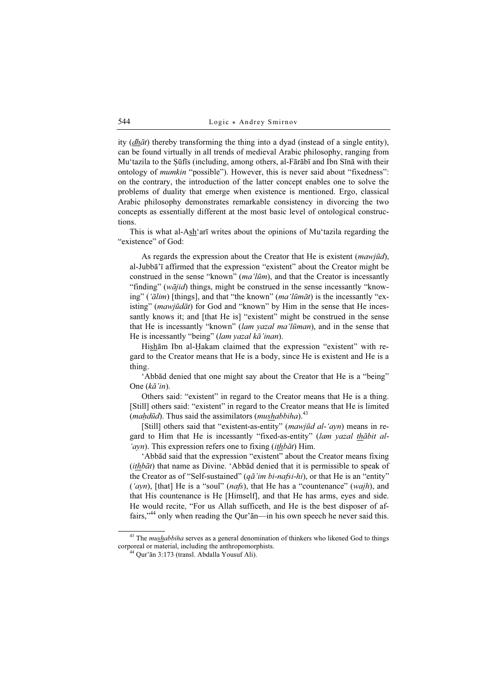ity  $(dh\bar{a}t)$  thereby transforming the thing into a dyad (instead of a single entity), can be found virtually in all trends of medieval Arabic philosophy, ranging from Mu'tazila to the Ṣūfīs (including, among others, al-Fārābī and Ibn Sīnā with their ontology of mumkin "possible"). However, this is never said about "fixedness": on the contrary, the introduction of the latter concept enables one to solve the problems of duality that emerge when existence is mentioned. Ergo, classical Arabic philosophy demonstrates remarkable consistency in divorcing the two concepts as essentially different at the most basic level of ontological constructions.

This is what al-Ash'arī writes about the opinions of Mu'tazila regarding the "existence" of God:

As regards the expression about the Creator that He is existent *(mawjūd)*, al-Jubbā'ī affirmed that the expression "existent" about the Creator might be construed in the sense "known" (ma'lūm), and that the Creator is incessantly "finding" (wājid) things, might be construed in the sense incessantly "knowing" ('ālim) [things], and that "the known" (ma'lūmāt) is the incessantly "existing" (mawjūdāt) for God and "known" by Him in the sense that He incessantly knows it; and [that He is] "existent" might be construed in the sense that He is incessantly "known" (lam yazal ma'lūman), and in the sense that He is incessantly "being" (lam yazal kā'inan).

Hisham Ibn al-Ḥakam claimed that the expression "existent" with regard to the Creator means that He is a body, since He is existent and He is a thing.

'Abbād denied that one might say about the Creator that He is a "being" One  $(k\bar{a}$ 'in).

Others said: "existent" in regard to the Creator means that He is a thing. [Still] others said: "existent" in regard to the Creator means that He is limited (*maḥdūd*). Thus said the assimilators (*mushabbiha*).<sup>43</sup>

[Still] others said that "existent-as-entity" (mawjūd al-'ayn) means in regard to Him that He is incessantly "fixed-as-entity" (lam yazal thābit al- 'ayn). This expression refers one to fixing  $(ith\bar{b}\bar{a}t)$  Him.

'Abbād said that the expression "existent" about the Creator means fixing (ithbāt) that name as Divine. 'Abbād denied that it is permissible to speak of the Creator as of "Self-sustained"  $(q\bar{a}'im\ bi\ nafsi\ -hi)$ , or that He is an "entity"  $('ayn)$ , [that] He is a "soul" (*nafs*), that He has a "countenance" (*wajh*), and that His countenance is He [Himself], and that He has arms, eyes and side. He would recite, "For us Allah sufficeth, and He is the best disposer of affairs,"<sup>44</sup> only when reading the Qur'ān—in his own speech he never said this.

 $43$  The *mushabbiha* serves as a general denomination of thinkers who likened God to things corporeal or material, including the anthropomorphists. <sup>44</sup> Qur'ān 3:173 (transl. Abdalla Yousuf Ali).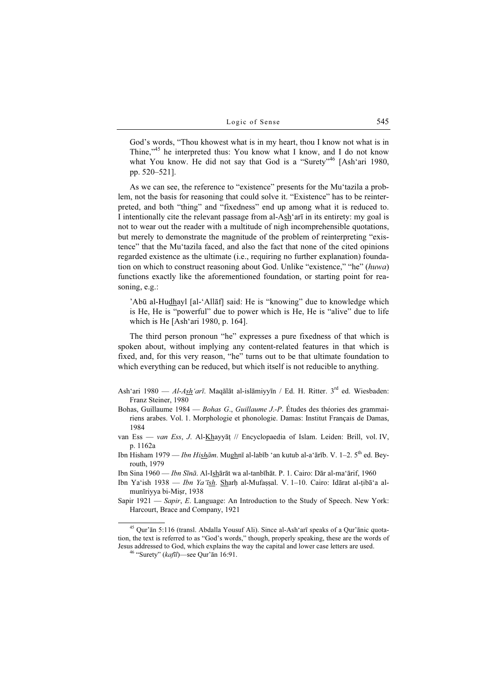God's words, "Thou khowest what is in my heart, thou I know not what is in Thine,"<sup>45</sup> he interpreted thus: You know what I know, and I do not know what You know. He did not say that God is a "Surety"<sup>46</sup> [Ash'ari 1980, pp. 520–521].

As we can see, the reference to "existence" presents for the Mu'tazila a problem, not the basis for reasoning that could solve it. "Existence" has to be reinterpreted, and both "thing" and "fixedness" end up among what it is reduced to. I intentionally cite the relevant passage from al-Ash'arī in its entirety: my goal is not to wear out the reader with a multitude of nigh incomprehensible quotations, but merely to demonstrate the magnitude of the problem of reinterpreting "existence" that the Mu'tazila faced, and also the fact that none of the cited opinions regarded existence as the ultimate (i.e., requiring no further explanation) foundation on which to construct reasoning about God. Unlike "existence," "he" (huwa) functions exactly like the aforementioned foundation, or starting point for reasoning, e.g.:

'Abū al-Hudhayl [al-'Allāf] said: He is "knowing" due to knowledge which is He, He is "powerful" due to power which is He, He is "alive" due to life which is He [Ash'ari 1980, p. 164].

The third person pronoun "he" expresses a pure fixedness of that which is spoken about, without implying any content-related features in that which is fixed, and, for this very reason, "he" turns out to be that ultimate foundation to which everything can be reduced, but which itself is not reducible to anything.

- Ash'ari 1980 Al-Ash'arī. Maqālāt al-islāmiyyīn / Ed. H. Ritter.  $3<sup>rd</sup>$  ed. Wiesbaden: Franz Steiner, 1980
- Bohas, Guillaume 1984 Bohas G., Guillaume J.-P. Études des théories des grammairiens arabes. Vol. 1. Morphologie et phonologie. Damas: Institut Français de Damas, 1984
- van Ess van Ess, J. Al-Khayyāṭ // Encyclopaedia of Islam. Leiden: Brill, vol. IV, p. 1162a
- Ibn Hisham 1979 *Ibn Hishām*. Mughnī al-labīb 'an kutub al-a'ārīb. V. 1–2. 5<sup>th</sup> ed. Beyrouth, 1979
- Ibn Sina 1960 Ibn Sīnā. Al-Ishārāt wa al-tanbīhāt. P. 1. Cairo: Dār al-ma'ārif, 1960
- Ibn Ya'ish 1938 Ibn Ya'īsh. Sharh al-Mufassal. V. 1-10. Cairo: Idārat al-tibā'a almunīriyya bi-Miṣr, 1938
- Sapir 1921 Sapir, E. Language: An Introduction to the Study of Speech. New York: Harcourt, Brace and Company, 1921

<sup>45</sup> Qur'ān 5:116 (transl. Abdalla Yousuf Ali). Since al-Ash'arī speaks of a Qur'ānic quotation, the text is referred to as "God's words," though, properly speaking, these are the words of Jesus addressed to God, which explains the way the capital and lower case letters are used. <sup>46</sup> "Surety" (kafīl)—see Qur'ān 16:91.